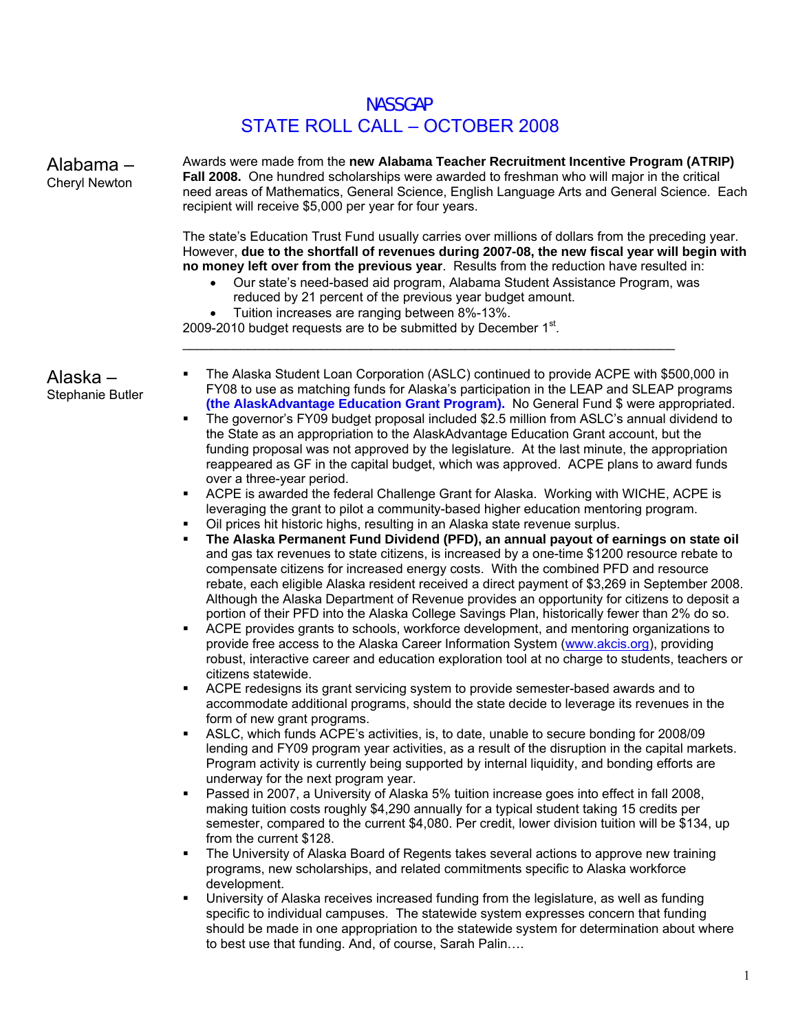# NASSGAP STATE ROLL CALL – OCTOBER 2008

Alabama – Cheryl Newton Awards were made from the **new Alabama Teacher Recruitment Incentive Program (ATRIP) Fall 2008.** One hundred scholarships were awarded to freshman who will major in the critical need areas of Mathematics, General Science, English Language Arts and General Science. Each recipient will receive \$5,000 per year for four years. The state's Education Trust Fund usually carries over millions of dollars from the preceding year. However, **due to the shortfall of revenues during 2007-08, the new fiscal year will begin with no money left over from the previous year**. Results from the reduction have resulted in: • Our state's need-based aid program, Alabama Student Assistance Program, was reduced by 21 percent of the previous year budget amount. • Tuition increases are ranging between 8%-13%. 2009-2010 budget requests are to be submitted by December  $1<sup>st</sup>$ .  $\_$  , and the set of the set of the set of the set of the set of the set of the set of the set of the set of the set of the set of the set of the set of the set of the set of the set of the set of the set of the set of th Alaska – Stephanie Butler The Alaska Student Loan Corporation (ASLC) continued to provide ACPE with \$500,000 in FY08 to use as matching funds for Alaska's participation in the LEAP and SLEAP programs **(the AlaskAdvantage Education Grant Program).** No General Fund \$ were appropriated. The governor's FY09 budget proposal included \$2.5 million from ASLC's annual dividend to the State as an appropriation to the AlaskAdvantage Education Grant account, but the funding proposal was not approved by the legislature. At the last minute, the appropriation reappeared as GF in the capital budget, which was approved. ACPE plans to award funds over a three-year period. ACPE is awarded the federal Challenge Grant for Alaska. Working with WICHE, ACPE is leveraging the grant to pilot a community-based higher education mentoring program. Oil prices hit historic highs, resulting in an Alaska state revenue surplus. **The Alaska Permanent Fund Dividend (PFD), an annual payout of earnings on state oil**  and gas tax revenues to state citizens, is increased by a one-time \$1200 resource rebate to

- compensate citizens for increased energy costs. With the combined PFD and resource rebate, each eligible Alaska resident received a direct payment of \$3,269 in September 2008. Although the Alaska Department of Revenue provides an opportunity for citizens to deposit a portion of their PFD into the Alaska College Savings Plan, historically fewer than 2% do so.
- ACPE provides grants to schools, workforce development, and mentoring organizations to provide free access to the Alaska Career Information System (www.akcis.org), providing robust, interactive career and education exploration tool at no charge to students, teachers or citizens statewide.
- ACPE redesigns its grant servicing system to provide semester-based awards and to accommodate additional programs, should the state decide to leverage its revenues in the form of new grant programs.
- ASLC, which funds ACPE's activities, is, to date, unable to secure bonding for 2008/09 lending and FY09 program year activities, as a result of the disruption in the capital markets. Program activity is currently being supported by internal liquidity, and bonding efforts are underway for the next program year.
- Passed in 2007, a University of Alaska 5% tuition increase goes into effect in fall 2008, making tuition costs roughly \$4,290 annually for a typical student taking 15 credits per semester, compared to the current \$4,080. Per credit, lower division tuition will be \$134, up from the current \$128.
- The University of Alaska Board of Regents takes several actions to approve new training programs, new scholarships, and related commitments specific to Alaska workforce development.
- University of Alaska receives increased funding from the legislature, as well as funding specific to individual campuses. The statewide system expresses concern that funding should be made in one appropriation to the statewide system for determination about where to best use that funding. And, of course, Sarah Palin….

1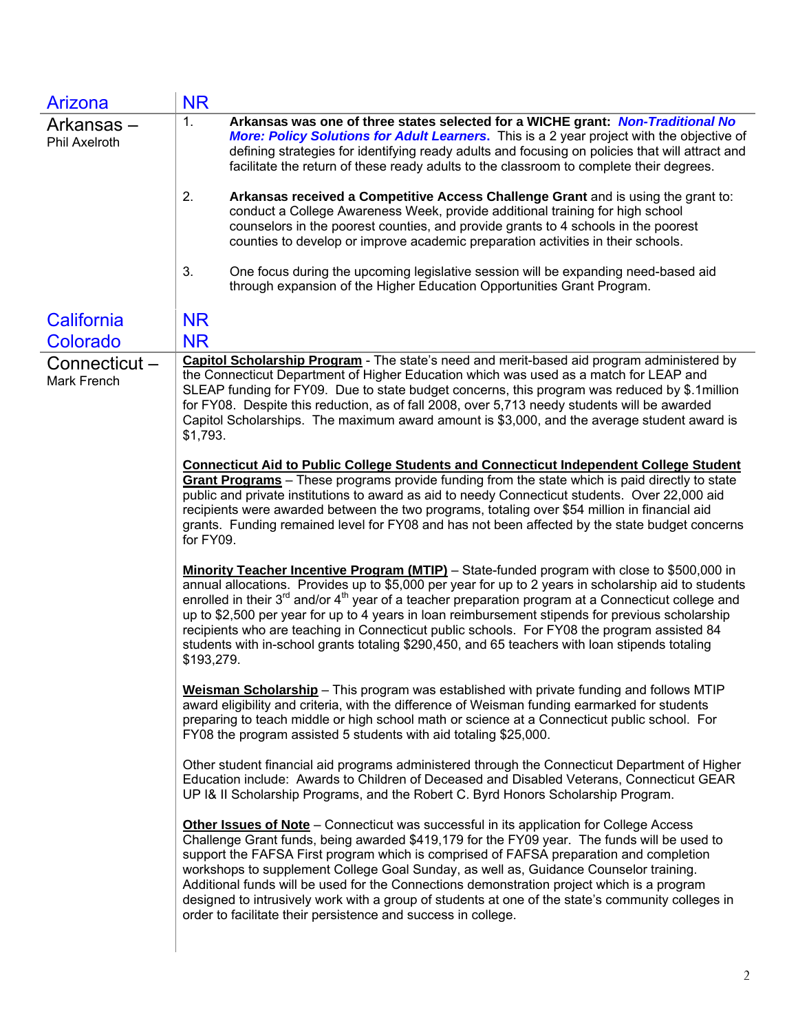| Arizona                             | <b>NR</b>                                                                                                                                                                                                                                                                                                                                                                                                                                                                                                                                                                                                                                     |
|-------------------------------------|-----------------------------------------------------------------------------------------------------------------------------------------------------------------------------------------------------------------------------------------------------------------------------------------------------------------------------------------------------------------------------------------------------------------------------------------------------------------------------------------------------------------------------------------------------------------------------------------------------------------------------------------------|
| Arkansas –<br><b>Phil Axelroth</b>  | 1.<br>Arkansas was one of three states selected for a WICHE grant: Non-Traditional No<br>More: Policy Solutions for Adult Learners. This is a 2 year project with the objective of<br>defining strategies for identifying ready adults and focusing on policies that will attract and<br>facilitate the return of these ready adults to the classroom to complete their degrees.                                                                                                                                                                                                                                                              |
|                                     | 2.<br>Arkansas received a Competitive Access Challenge Grant and is using the grant to:<br>conduct a College Awareness Week, provide additional training for high school<br>counselors in the poorest counties, and provide grants to 4 schools in the poorest<br>counties to develop or improve academic preparation activities in their schools.                                                                                                                                                                                                                                                                                            |
|                                     | 3.<br>One focus during the upcoming legislative session will be expanding need-based aid<br>through expansion of the Higher Education Opportunities Grant Program.                                                                                                                                                                                                                                                                                                                                                                                                                                                                            |
| California                          | <b>NR</b>                                                                                                                                                                                                                                                                                                                                                                                                                                                                                                                                                                                                                                     |
| Colorado                            | <b>NR</b>                                                                                                                                                                                                                                                                                                                                                                                                                                                                                                                                                                                                                                     |
| Connecticut -<br><b>Mark French</b> | Capitol Scholarship Program - The state's need and merit-based aid program administered by<br>the Connecticut Department of Higher Education which was used as a match for LEAP and<br>SLEAP funding for FY09. Due to state budget concerns, this program was reduced by \$.1 million<br>for FY08. Despite this reduction, as of fall 2008, over 5,713 needy students will be awarded<br>Capitol Scholarships. The maximum award amount is \$3,000, and the average student award is<br>\$1,793.                                                                                                                                              |
|                                     | <b>Connecticut Aid to Public College Students and Connecticut Independent College Student</b><br>Grant Programs - These programs provide funding from the state which is paid directly to state<br>public and private institutions to award as aid to needy Connecticut students. Over 22,000 aid<br>recipients were awarded between the two programs, totaling over \$54 million in financial aid<br>grants. Funding remained level for FY08 and has not been affected by the state budget concerns<br>for FY09.                                                                                                                             |
|                                     | Minority Teacher Incentive Program (MTIP) - State-funded program with close to \$500,000 in<br>annual allocations. Provides up to \$5,000 per year for up to 2 years in scholarship aid to students<br>enrolled in their $3^{rd}$ and/or $4^{th}$ year of a teacher preparation program at a Connecticut college and<br>up to \$2,500 per year for up to 4 years in loan reimbursement stipends for previous scholarship<br>recipients who are teaching in Connecticut public schools. For FY08 the program assisted 84<br>students with in-school grants totaling \$290,450, and 65 teachers with loan stipends totaling<br>\$193,279.       |
|                                     | Weisman Scholarship - This program was established with private funding and follows MTIP<br>award eligibility and criteria, with the difference of Weisman funding earmarked for students<br>preparing to teach middle or high school math or science at a Connecticut public school. For<br>FY08 the program assisted 5 students with aid totaling \$25,000.                                                                                                                                                                                                                                                                                 |
|                                     | Other student financial aid programs administered through the Connecticut Department of Higher<br>Education include: Awards to Children of Deceased and Disabled Veterans, Connecticut GEAR<br>UP I& II Scholarship Programs, and the Robert C. Byrd Honors Scholarship Program.                                                                                                                                                                                                                                                                                                                                                              |
|                                     | Other Issues of Note - Connecticut was successful in its application for College Access<br>Challenge Grant funds, being awarded \$419,179 for the FY09 year. The funds will be used to<br>support the FAFSA First program which is comprised of FAFSA preparation and completion<br>workshops to supplement College Goal Sunday, as well as, Guidance Counselor training.<br>Additional funds will be used for the Connections demonstration project which is a program<br>designed to intrusively work with a group of students at one of the state's community colleges in<br>order to facilitate their persistence and success in college. |
|                                     |                                                                                                                                                                                                                                                                                                                                                                                                                                                                                                                                                                                                                                               |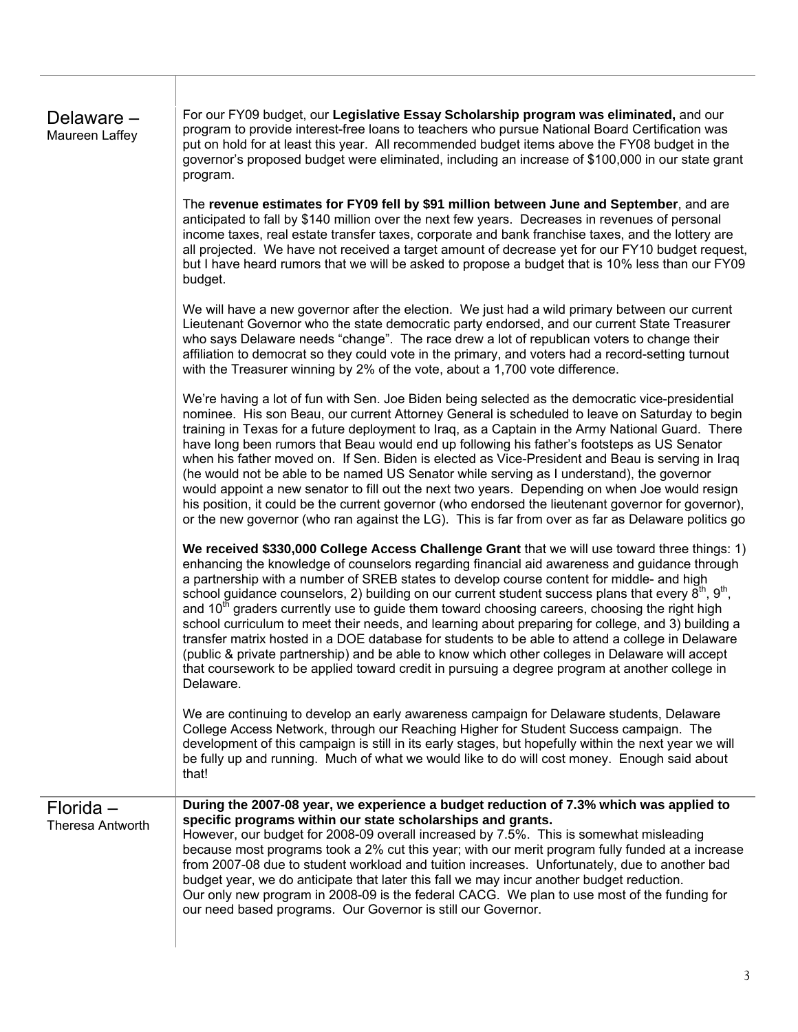# Delaware – Maureen Laffey

For our FY09 budget, our **Legislative Essay Scholarship program was eliminated,** and our program to provide interest-free loans to teachers who pursue National Board Certification was put on hold for at least this year. All recommended budget items above the FY08 budget in the governor's proposed budget were eliminated, including an increase of \$100,000 in our state grant program.

The **revenue estimates for FY09 fell by \$91 million between June and September**, and are anticipated to fall by \$140 million over the next few years. Decreases in revenues of personal income taxes, real estate transfer taxes, corporate and bank franchise taxes, and the lottery are all projected. We have not received a target amount of decrease yet for our FY10 budget request, but I have heard rumors that we will be asked to propose a budget that is 10% less than our FY09 budget.

We will have a new governor after the election. We just had a wild primary between our current Lieutenant Governor who the state democratic party endorsed, and our current State Treasurer who says Delaware needs "change". The race drew a lot of republican voters to change their affiliation to democrat so they could vote in the primary, and voters had a record-setting turnout with the Treasurer winning by 2% of the vote, about a 1,700 vote difference.

We're having a lot of fun with Sen. Joe Biden being selected as the democratic vice-presidential nominee. His son Beau, our current Attorney General is scheduled to leave on Saturday to begin training in Texas for a future deployment to Iraq, as a Captain in the Army National Guard. There have long been rumors that Beau would end up following his father's footsteps as US Senator when his father moved on. If Sen. Biden is elected as Vice-President and Beau is serving in Iraq (he would not be able to be named US Senator while serving as I understand), the governor would appoint a new senator to fill out the next two years. Depending on when Joe would resign his position, it could be the current governor (who endorsed the lieutenant governor for governor), or the new governor (who ran against the LG). This is far from over as far as Delaware politics go

**We received \$330,000 College Access Challenge Grant** that we will use toward three things: 1) enhancing the knowledge of counselors regarding financial aid awareness and guidance through a partnership with a number of SREB states to develop course content for middle- and high school guidance counselors, 2) building on our current student success plans that every  $\bar{8}^{th}$ ,  $9^{th}$ , and  $10<sup>th</sup>$  graders currently use to guide them toward choosing careers, choosing the right high school curriculum to meet their needs, and learning about preparing for college, and 3) building a transfer matrix hosted in a DOE database for students to be able to attend a college in Delaware (public & private partnership) and be able to know which other colleges in Delaware will accept that coursework to be applied toward credit in pursuing a degree program at another college in Delaware.

We are continuing to develop an early awareness campaign for Delaware students, Delaware College Access Network, through our Reaching Higher for Student Success campaign. The development of this campaign is still in its early stages, but hopefully within the next year we will be fully up and running. Much of what we would like to do will cost money. Enough said about that!

**During the 2007-08 year, we experience a budget reduction of 7.3% which was applied to** 

## Florida – Theresa Antworth

**specific programs within our state scholarships and grants.**  However, our budget for 2008-09 overall increased by 7.5%. This is somewhat misleading because most programs took a 2% cut this year; with our merit program fully funded at a increase from 2007-08 due to student workload and tuition increases. Unfortunately, due to another bad budget year, we do anticipate that later this fall we may incur another budget reduction. Our only new program in 2008-09 is the federal CACG. We plan to use most of the funding for our need based programs. Our Governor is still our Governor.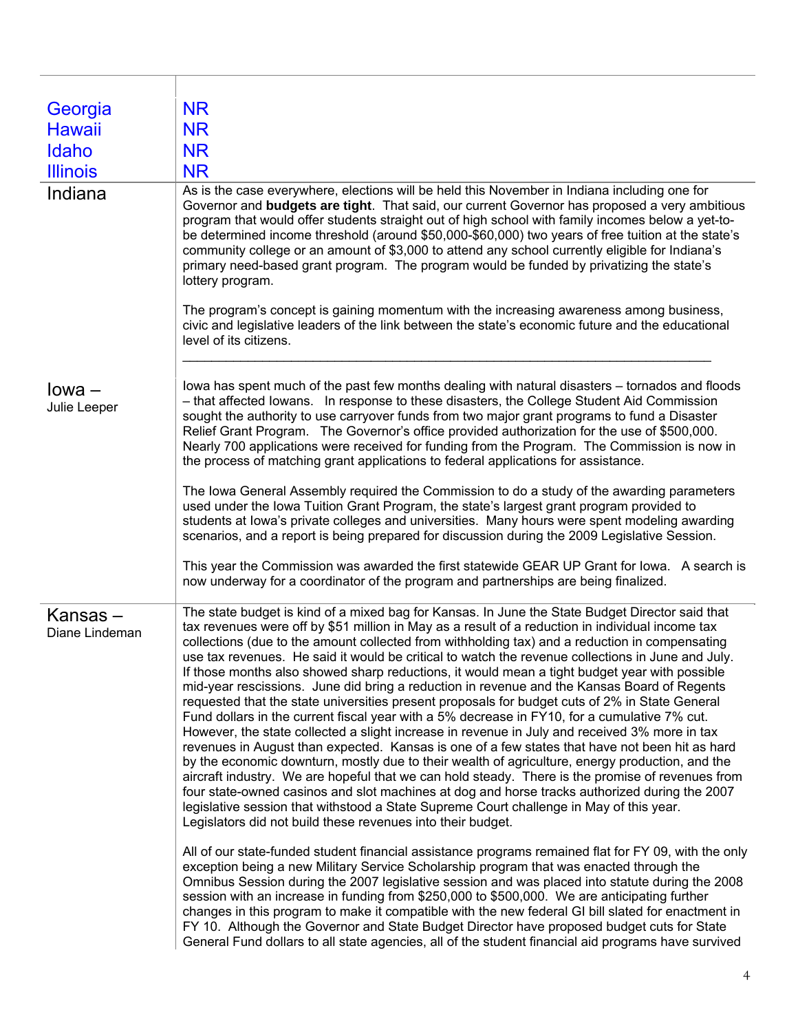| Georgia                   | <b>NR</b>                                                                                                                                                                                                                                                                                                                                                                                                                                                                                                                                                                                                                                                                                                                                                                                                                                                                                                                                                                                                                                                                                                                                                                                                                                                                                                                                                                                                                                                                         |
|---------------------------|-----------------------------------------------------------------------------------------------------------------------------------------------------------------------------------------------------------------------------------------------------------------------------------------------------------------------------------------------------------------------------------------------------------------------------------------------------------------------------------------------------------------------------------------------------------------------------------------------------------------------------------------------------------------------------------------------------------------------------------------------------------------------------------------------------------------------------------------------------------------------------------------------------------------------------------------------------------------------------------------------------------------------------------------------------------------------------------------------------------------------------------------------------------------------------------------------------------------------------------------------------------------------------------------------------------------------------------------------------------------------------------------------------------------------------------------------------------------------------------|
| <b>Hawaii</b>             | <b>NR</b>                                                                                                                                                                                                                                                                                                                                                                                                                                                                                                                                                                                                                                                                                                                                                                                                                                                                                                                                                                                                                                                                                                                                                                                                                                                                                                                                                                                                                                                                         |
| Idaho                     | <b>NR</b>                                                                                                                                                                                                                                                                                                                                                                                                                                                                                                                                                                                                                                                                                                                                                                                                                                                                                                                                                                                                                                                                                                                                                                                                                                                                                                                                                                                                                                                                         |
| <b>Illinois</b>           | <b>NR</b>                                                                                                                                                                                                                                                                                                                                                                                                                                                                                                                                                                                                                                                                                                                                                                                                                                                                                                                                                                                                                                                                                                                                                                                                                                                                                                                                                                                                                                                                         |
| Indiana                   | As is the case everywhere, elections will be held this November in Indiana including one for<br>Governor and <b>budgets are tight</b> . That said, our current Governor has proposed a very ambitious<br>program that would offer students straight out of high school with family incomes below a yet-to-<br>be determined income threshold (around \$50,000-\$60,000) two years of free tuition at the state's<br>community college or an amount of \$3,000 to attend any school currently eligible for Indiana's<br>primary need-based grant program. The program would be funded by privatizing the state's<br>lottery program.                                                                                                                                                                                                                                                                                                                                                                                                                                                                                                                                                                                                                                                                                                                                                                                                                                               |
|                           | The program's concept is gaining momentum with the increasing awareness among business,<br>civic and legislative leaders of the link between the state's economic future and the educational<br>level of its citizens.                                                                                                                                                                                                                                                                                                                                                                                                                                                                                                                                                                                                                                                                                                                                                                                                                                                                                                                                                                                                                                                                                                                                                                                                                                                            |
| $Iowa -$<br>Julie Leeper  | lowa has spent much of the past few months dealing with natural disasters – tornados and floods<br>- that affected lowans. In response to these disasters, the College Student Aid Commission<br>sought the authority to use carryover funds from two major grant programs to fund a Disaster<br>Relief Grant Program. The Governor's office provided authorization for the use of \$500,000.<br>Nearly 700 applications were received for funding from the Program. The Commission is now in<br>the process of matching grant applications to federal applications for assistance.                                                                                                                                                                                                                                                                                                                                                                                                                                                                                                                                                                                                                                                                                                                                                                                                                                                                                               |
|                           | The Iowa General Assembly required the Commission to do a study of the awarding parameters<br>used under the lowa Tuition Grant Program, the state's largest grant program provided to<br>students at lowa's private colleges and universities. Many hours were spent modeling awarding<br>scenarios, and a report is being prepared for discussion during the 2009 Legislative Session.<br>This year the Commission was awarded the first statewide GEAR UP Grant for lowa. A search is                                                                                                                                                                                                                                                                                                                                                                                                                                                                                                                                                                                                                                                                                                                                                                                                                                                                                                                                                                                          |
|                           | now underway for a coordinator of the program and partnerships are being finalized.                                                                                                                                                                                                                                                                                                                                                                                                                                                                                                                                                                                                                                                                                                                                                                                                                                                                                                                                                                                                                                                                                                                                                                                                                                                                                                                                                                                               |
| Kansas-<br>Diane Lindeman | The state budget is kind of a mixed bag for Kansas. In June the State Budget Director said that<br>tax revenues were off by \$51 million in May as a result of a reduction in individual income tax<br>collections (due to the amount collected from withholding tax) and a reduction in compensating<br>use tax revenues. He said it would be critical to watch the revenue collections in June and July.<br>If those months also showed sharp reductions, it would mean a tight budget year with possible<br>mid-year rescissions. June did bring a reduction in revenue and the Kansas Board of Regents<br>requested that the state universities present proposals for budget cuts of 2% in State General<br>Fund dollars in the current fiscal year with a 5% decrease in FY10, for a cumulative 7% cut.<br>However, the state collected a slight increase in revenue in July and received 3% more in tax<br>revenues in August than expected. Kansas is one of a few states that have not been hit as hard<br>by the economic downturn, mostly due to their wealth of agriculture, energy production, and the<br>aircraft industry. We are hopeful that we can hold steady. There is the promise of revenues from<br>four state-owned casinos and slot machines at dog and horse tracks authorized during the 2007<br>legislative session that withstood a State Supreme Court challenge in May of this year.<br>Legislators did not build these revenues into their budget. |
|                           | All of our state-funded student financial assistance programs remained flat for FY 09, with the only<br>exception being a new Military Service Scholarship program that was enacted through the<br>Omnibus Session during the 2007 legislative session and was placed into statute during the 2008<br>session with an increase in funding from \$250,000 to \$500,000. We are anticipating further<br>changes in this program to make it compatible with the new federal GI bill slated for enactment in<br>FY 10. Although the Governor and State Budget Director have proposed budget cuts for State<br>General Fund dollars to all state agencies, all of the student financial aid programs have survived                                                                                                                                                                                                                                                                                                                                                                                                                                                                                                                                                                                                                                                                                                                                                                     |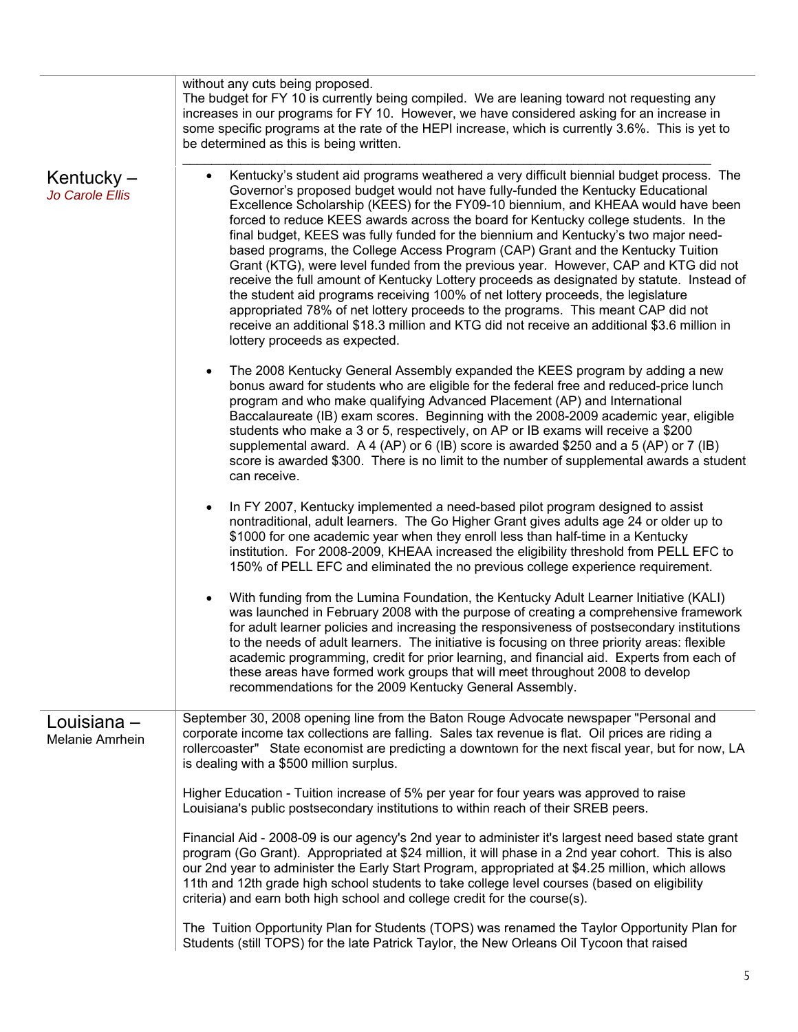|                                 | without any cuts being proposed.<br>The budget for FY 10 is currently being compiled. We are leaning toward not requesting any<br>increases in our programs for FY 10. However, we have considered asking for an increase in<br>some specific programs at the rate of the HEPI increase, which is currently 3.6%. This is yet to<br>be determined as this is being written.                                                                                                                                                                                                                                                                                                                                                                                                                                                                                                                                                                                                                                                               |
|---------------------------------|-------------------------------------------------------------------------------------------------------------------------------------------------------------------------------------------------------------------------------------------------------------------------------------------------------------------------------------------------------------------------------------------------------------------------------------------------------------------------------------------------------------------------------------------------------------------------------------------------------------------------------------------------------------------------------------------------------------------------------------------------------------------------------------------------------------------------------------------------------------------------------------------------------------------------------------------------------------------------------------------------------------------------------------------|
| Kentucky $-$<br>Jo Carole Ellis | Kentucky's student aid programs weathered a very difficult biennial budget process. The<br>$\bullet$<br>Governor's proposed budget would not have fully-funded the Kentucky Educational<br>Excellence Scholarship (KEES) for the FY09-10 biennium, and KHEAA would have been<br>forced to reduce KEES awards across the board for Kentucky college students. In the<br>final budget, KEES was fully funded for the biennium and Kentucky's two major need-<br>based programs, the College Access Program (CAP) Grant and the Kentucky Tuition<br>Grant (KTG), were level funded from the previous year. However, CAP and KTG did not<br>receive the full amount of Kentucky Lottery proceeds as designated by statute. Instead of<br>the student aid programs receiving 100% of net lottery proceeds, the legislature<br>appropriated 78% of net lottery proceeds to the programs. This meant CAP did not<br>receive an additional \$18.3 million and KTG did not receive an additional \$3.6 million in<br>lottery proceeds as expected. |
|                                 | The 2008 Kentucky General Assembly expanded the KEES program by adding a new<br>$\bullet$<br>bonus award for students who are eligible for the federal free and reduced-price lunch<br>program and who make qualifying Advanced Placement (AP) and International<br>Baccalaureate (IB) exam scores. Beginning with the 2008-2009 academic year, eligible<br>students who make a 3 or 5, respectively, on AP or IB exams will receive a \$200<br>supplemental award. A 4 (AP) or 6 (IB) score is awarded \$250 and a 5 (AP) or 7 (IB)<br>score is awarded \$300. There is no limit to the number of supplemental awards a student<br>can receive.                                                                                                                                                                                                                                                                                                                                                                                          |
|                                 | In FY 2007, Kentucky implemented a need-based pilot program designed to assist<br>$\bullet$<br>nontraditional, adult learners. The Go Higher Grant gives adults age 24 or older up to<br>\$1000 for one academic year when they enroll less than half-time in a Kentucky<br>institution. For 2008-2009, KHEAA increased the eligibility threshold from PELL EFC to<br>150% of PELL EFC and eliminated the no previous college experience requirement.                                                                                                                                                                                                                                                                                                                                                                                                                                                                                                                                                                                     |
|                                 | With funding from the Lumina Foundation, the Kentucky Adult Learner Initiative (KALI)<br>was launched in February 2008 with the purpose of creating a comprehensive framework<br>for adult learner policies and increasing the responsiveness of postsecondary institutions<br>to the needs of adult learners. The initiative is focusing on three priority areas: flexible<br>academic programming, credit for prior learning, and financial aid. Experts from each of<br>these areas have formed work groups that will meet throughout 2008 to develop<br>recommendations for the 2009 Kentucky General Assembly.                                                                                                                                                                                                                                                                                                                                                                                                                       |
| Louisiana -<br>Melanie Amrhein  | September 30, 2008 opening line from the Baton Rouge Advocate newspaper "Personal and<br>corporate income tax collections are falling. Sales tax revenue is flat. Oil prices are riding a<br>rollercoaster" State economist are predicting a downtown for the next fiscal year, but for now, LA<br>is dealing with a \$500 million surplus.                                                                                                                                                                                                                                                                                                                                                                                                                                                                                                                                                                                                                                                                                               |
|                                 | Higher Education - Tuition increase of 5% per year for four years was approved to raise<br>Louisiana's public postsecondary institutions to within reach of their SREB peers.                                                                                                                                                                                                                                                                                                                                                                                                                                                                                                                                                                                                                                                                                                                                                                                                                                                             |
|                                 | Financial Aid - 2008-09 is our agency's 2nd year to administer it's largest need based state grant<br>program (Go Grant). Appropriated at \$24 million, it will phase in a 2nd year cohort. This is also<br>our 2nd year to administer the Early Start Program, appropriated at \$4.25 million, which allows<br>11th and 12th grade high school students to take college level courses (based on eligibility<br>criteria) and earn both high school and college credit for the course(s).                                                                                                                                                                                                                                                                                                                                                                                                                                                                                                                                                 |
|                                 | The Tuition Opportunity Plan for Students (TOPS) was renamed the Taylor Opportunity Plan for<br>Students (still TOPS) for the late Patrick Taylor, the New Orleans Oil Tycoon that raised                                                                                                                                                                                                                                                                                                                                                                                                                                                                                                                                                                                                                                                                                                                                                                                                                                                 |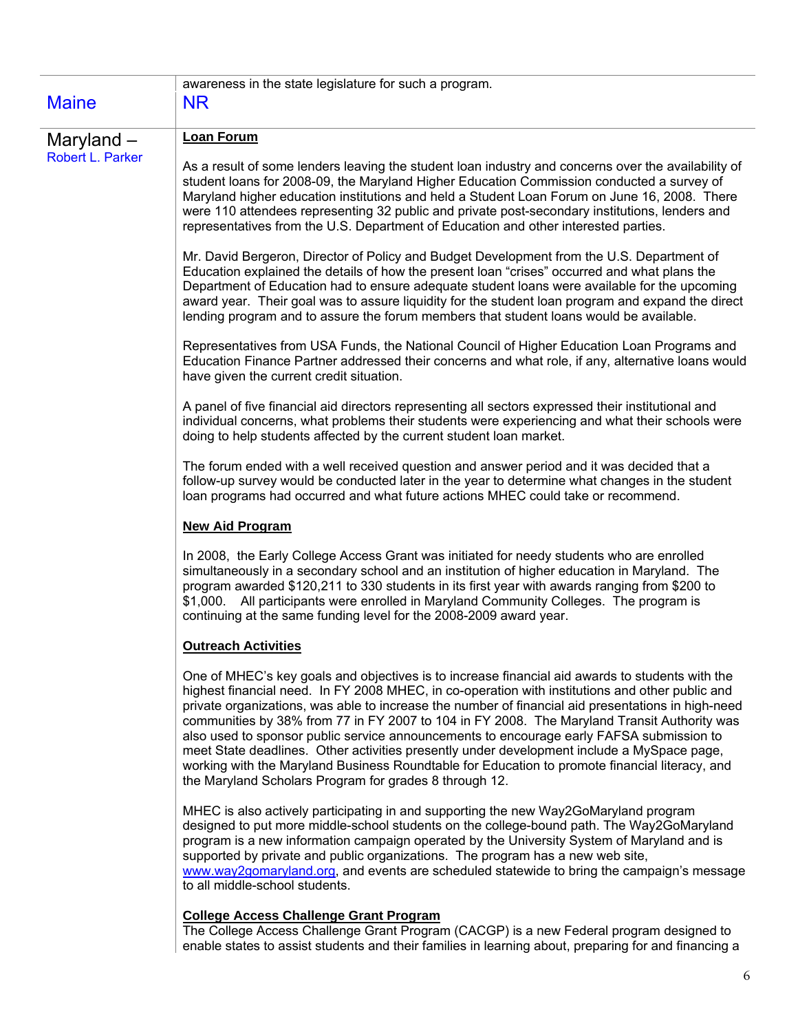| <b>Maine</b>     | awareness in the state legislature for such a program.<br><b>NR</b>                                                                                                                                                                                                                                                                                                                                                                                                                                                                                                                                                                                                                                                                                           |
|------------------|---------------------------------------------------------------------------------------------------------------------------------------------------------------------------------------------------------------------------------------------------------------------------------------------------------------------------------------------------------------------------------------------------------------------------------------------------------------------------------------------------------------------------------------------------------------------------------------------------------------------------------------------------------------------------------------------------------------------------------------------------------------|
| Maryland $-$     | <b>Loan Forum</b>                                                                                                                                                                                                                                                                                                                                                                                                                                                                                                                                                                                                                                                                                                                                             |
| Robert L. Parker | As a result of some lenders leaving the student loan industry and concerns over the availability of<br>student loans for 2008-09, the Maryland Higher Education Commission conducted a survey of<br>Maryland higher education institutions and held a Student Loan Forum on June 16, 2008. There<br>were 110 attendees representing 32 public and private post-secondary institutions, lenders and<br>representatives from the U.S. Department of Education and other interested parties.                                                                                                                                                                                                                                                                     |
|                  | Mr. David Bergeron, Director of Policy and Budget Development from the U.S. Department of<br>Education explained the details of how the present loan "crises" occurred and what plans the<br>Department of Education had to ensure adequate student loans were available for the upcoming<br>award year. Their goal was to assure liquidity for the student loan program and expand the direct<br>lending program and to assure the forum members that student loans would be available.                                                                                                                                                                                                                                                                      |
|                  | Representatives from USA Funds, the National Council of Higher Education Loan Programs and<br>Education Finance Partner addressed their concerns and what role, if any, alternative loans would<br>have given the current credit situation.                                                                                                                                                                                                                                                                                                                                                                                                                                                                                                                   |
|                  | A panel of five financial aid directors representing all sectors expressed their institutional and<br>individual concerns, what problems their students were experiencing and what their schools were<br>doing to help students affected by the current student loan market.                                                                                                                                                                                                                                                                                                                                                                                                                                                                                  |
|                  | The forum ended with a well received question and answer period and it was decided that a<br>follow-up survey would be conducted later in the year to determine what changes in the student<br>loan programs had occurred and what future actions MHEC could take or recommend.                                                                                                                                                                                                                                                                                                                                                                                                                                                                               |
|                  | <b>New Aid Program</b>                                                                                                                                                                                                                                                                                                                                                                                                                                                                                                                                                                                                                                                                                                                                        |
|                  | In 2008, the Early College Access Grant was initiated for needy students who are enrolled<br>simultaneously in a secondary school and an institution of higher education in Maryland. The<br>program awarded \$120,211 to 330 students in its first year with awards ranging from \$200 to<br>\$1,000. All participants were enrolled in Maryland Community Colleges. The program is<br>continuing at the same funding level for the 2008-2009 award year.                                                                                                                                                                                                                                                                                                    |
|                  | <b>Outreach Activities</b>                                                                                                                                                                                                                                                                                                                                                                                                                                                                                                                                                                                                                                                                                                                                    |
|                  | One of MHEC's key goals and objectives is to increase financial aid awards to students with the<br>highest financial need. In FY 2008 MHEC, in co-operation with institutions and other public and<br>private organizations, was able to increase the number of financial aid presentations in high-need<br>communities by 38% from 77 in FY 2007 to 104 in FY 2008. The Maryland Transit Authority was<br>also used to sponsor public service announcements to encourage early FAFSA submission to<br>meet State deadlines. Other activities presently under development include a MySpace page,<br>working with the Maryland Business Roundtable for Education to promote financial literacy, and<br>the Maryland Scholars Program for grades 8 through 12. |
|                  | MHEC is also actively participating in and supporting the new Way2GoMaryland program<br>designed to put more middle-school students on the college-bound path. The Way2GoMaryland<br>program is a new information campaign operated by the University System of Maryland and is<br>supported by private and public organizations. The program has a new web site,<br>www.way2gomaryland.org, and events are scheduled statewide to bring the campaign's message<br>to all middle-school students.                                                                                                                                                                                                                                                             |

#### **College Access Challenge Grant Program**

The College Access Challenge Grant Program (CACGP) is a new Federal program designed to enable states to assist students and their families in learning about, preparing for and financing a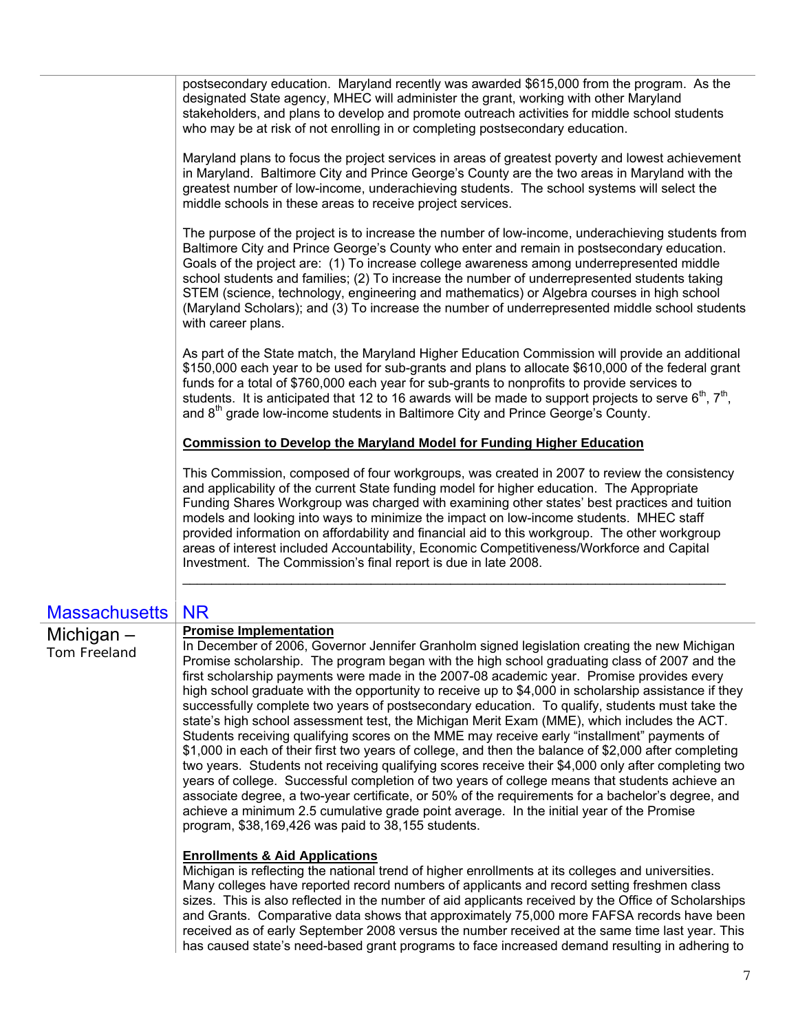postsecondary education. Maryland recently was awarded \$615,000 from the program. As the designated State agency, MHEC will administer the grant, working with other Maryland stakeholders, and plans to develop and promote outreach activities for middle school students who may be at risk of not enrolling in or completing postsecondary education.

Maryland plans to focus the project services in areas of greatest poverty and lowest achievement in Maryland. Baltimore City and Prince George's County are the two areas in Maryland with the greatest number of low-income, underachieving students. The school systems will select the middle schools in these areas to receive project services.

The purpose of the project is to increase the number of low-income, underachieving students from Baltimore City and Prince George's County who enter and remain in postsecondary education. Goals of the project are: (1) To increase college awareness among underrepresented middle school students and families; (2) To increase the number of underrepresented students taking STEM (science, technology, engineering and mathematics) or Algebra courses in high school (Maryland Scholars); and (3) To increase the number of underrepresented middle school students with career plans.

As part of the State match, the Maryland Higher Education Commission will provide an additional \$150,000 each year to be used for sub-grants and plans to allocate \$610,000 of the federal grant funds for a total of \$760,000 each year for sub-grants to nonprofits to provide services to students. It is anticipated that 12 to 16 awards will be made to support projects to serve  $6<sup>th</sup>$ ,  $7<sup>th</sup>$ , and  $8<sup>th</sup>$  grade low-income students in Baltimore City and Prince George's County.

#### **Commission to Develop the Maryland Model for Funding Higher Education**

This Commission, composed of four workgroups, was created in 2007 to review the consistency and applicability of the current State funding model for higher education. The Appropriate Funding Shares Workgroup was charged with examining other states' best practices and tuition models and looking into ways to minimize the impact on low-income students. MHEC staff provided information on affordability and financial aid to this workgroup. The other workgroup areas of interest included Accountability, Economic Competitiveness/Workforce and Capital Investment. The Commission's final report is due in late 2008.

\_\_\_\_\_\_\_\_\_\_\_\_\_\_\_\_\_\_\_\_\_\_\_\_\_\_\_\_\_\_\_\_\_\_\_\_\_\_\_\_\_\_\_\_\_\_\_\_\_\_\_\_\_\_\_\_\_\_\_\_\_\_\_\_\_\_\_\_\_\_\_\_\_\_\_

# Massachusetts | NR

# Michigan – Tom Freeland

#### **Promise Implementation**

In December of 2006, Governor Jennifer Granholm signed legislation creating the new Michigan Promise scholarship. The program began with the high school graduating class of 2007 and the first scholarship payments were made in the 2007-08 academic year. Promise provides every high school graduate with the opportunity to receive up to \$4,000 in scholarship assistance if they successfully complete two years of postsecondary education. To qualify, students must take the state's high school assessment test, the Michigan Merit Exam (MME), which includes the ACT. Students receiving qualifying scores on the MME may receive early "installment" payments of \$1,000 in each of their first two years of college, and then the balance of \$2,000 after completing two years. Students not receiving qualifying scores receive their \$4,000 only after completing two years of college. Successful completion of two years of college means that students achieve an associate degree, a two-year certificate, or 50% of the requirements for a bachelor's degree, and achieve a minimum 2.5 cumulative grade point average. In the initial year of the Promise program, \$38,169,426 was paid to 38,155 students.

#### **Enrollments & Aid Applications**

Michigan is reflecting the national trend of higher enrollments at its colleges and universities. Many colleges have reported record numbers of applicants and record setting freshmen class sizes. This is also reflected in the number of aid applicants received by the Office of Scholarships and Grants. Comparative data shows that approximately 75,000 more FAFSA records have been received as of early September 2008 versus the number received at the same time last year. This has caused state's need-based grant programs to face increased demand resulting in adhering to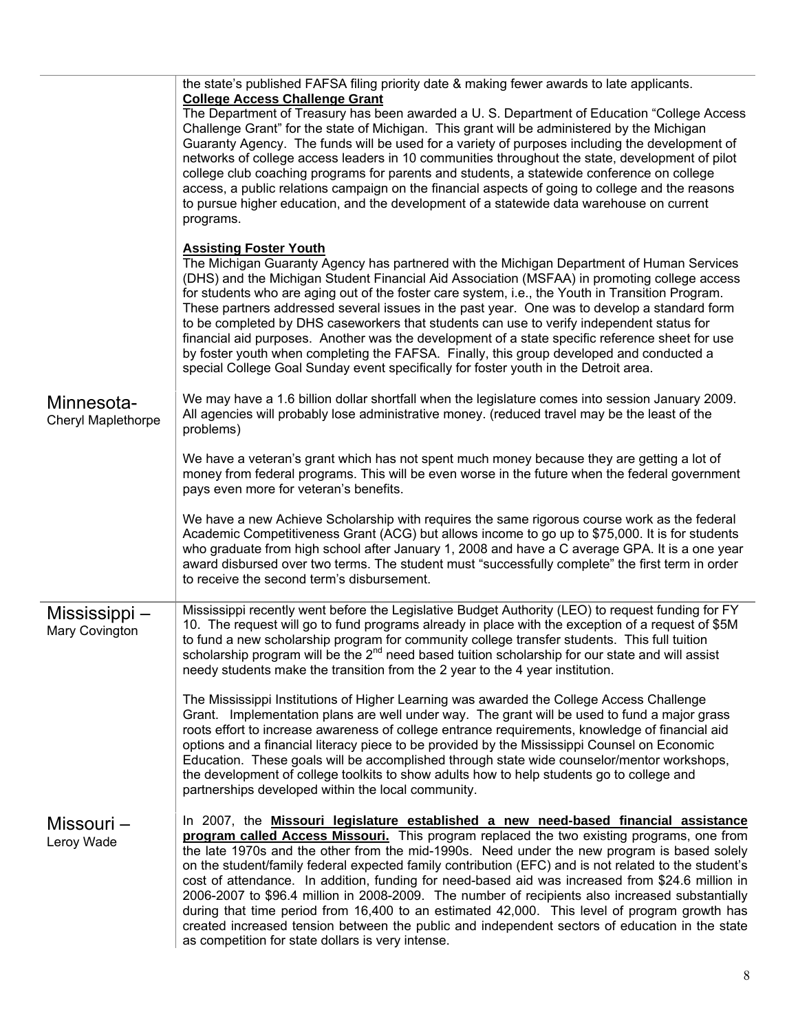|                                  | the state's published FAFSA filing priority date & making fewer awards to late applicants.<br><b>College Access Challenge Grant</b><br>The Department of Treasury has been awarded a U. S. Department of Education "College Access"<br>Challenge Grant" for the state of Michigan. This grant will be administered by the Michigan<br>Guaranty Agency. The funds will be used for a variety of purposes including the development of<br>networks of college access leaders in 10 communities throughout the state, development of pilot<br>college club coaching programs for parents and students, a statewide conference on college<br>access, a public relations campaign on the financial aspects of going to college and the reasons<br>to pursue higher education, and the development of a statewide data warehouse on current<br>programs.    |
|----------------------------------|-------------------------------------------------------------------------------------------------------------------------------------------------------------------------------------------------------------------------------------------------------------------------------------------------------------------------------------------------------------------------------------------------------------------------------------------------------------------------------------------------------------------------------------------------------------------------------------------------------------------------------------------------------------------------------------------------------------------------------------------------------------------------------------------------------------------------------------------------------|
|                                  | <b>Assisting Foster Youth</b><br>The Michigan Guaranty Agency has partnered with the Michigan Department of Human Services<br>(DHS) and the Michigan Student Financial Aid Association (MSFAA) in promoting college access<br>for students who are aging out of the foster care system, i.e., the Youth in Transition Program.<br>These partners addressed several issues in the past year. One was to develop a standard form<br>to be completed by DHS caseworkers that students can use to verify independent status for<br>financial aid purposes. Another was the development of a state specific reference sheet for use<br>by foster youth when completing the FAFSA. Finally, this group developed and conducted a<br>special College Goal Sunday event specifically for foster youth in the Detroit area.                                    |
| Minnesota-<br>Cheryl Maplethorpe | We may have a 1.6 billion dollar shortfall when the legislature comes into session January 2009.<br>All agencies will probably lose administrative money. (reduced travel may be the least of the<br>problems)                                                                                                                                                                                                                                                                                                                                                                                                                                                                                                                                                                                                                                        |
|                                  | We have a veteran's grant which has not spent much money because they are getting a lot of<br>money from federal programs. This will be even worse in the future when the federal government<br>pays even more for veteran's benefits.                                                                                                                                                                                                                                                                                                                                                                                                                                                                                                                                                                                                                |
|                                  | We have a new Achieve Scholarship with requires the same rigorous course work as the federal<br>Academic Competitiveness Grant (ACG) but allows income to go up to \$75,000. It is for students<br>who graduate from high school after January 1, 2008 and have a C average GPA. It is a one year<br>award disbursed over two terms. The student must "successfully complete" the first term in order<br>to receive the second term's disbursement.                                                                                                                                                                                                                                                                                                                                                                                                   |
| Mississippi –<br>Mary Covington  | Mississippi recently went before the Legislative Budget Authority (LEO) to request funding for FY<br>10. The request will go to fund programs already in place with the exception of a request of \$5M<br>to fund a new scholarship program for community college transfer students. This full tuition<br>scholarship program will be the 2 <sup>nd</sup> need based tuition scholarship for our state and will assist<br>needy students make the transition from the 2 year to the 4 year institution.                                                                                                                                                                                                                                                                                                                                               |
|                                  | The Mississippi Institutions of Higher Learning was awarded the College Access Challenge<br>Grant. Implementation plans are well under way. The grant will be used to fund a major grass<br>roots effort to increase awareness of college entrance requirements, knowledge of financial aid<br>options and a financial literacy piece to be provided by the Mississippi Counsel on Economic<br>Education. These goals will be accomplished through state wide counselor/mentor workshops,<br>the development of college toolkits to show adults how to help students go to college and<br>partnerships developed within the local community.                                                                                                                                                                                                          |
| Missouri –<br>Leroy Wade         | In 2007, the Missouri legislature established a new need-based financial assistance<br>program called Access Missouri. This program replaced the two existing programs, one from<br>the late 1970s and the other from the mid-1990s. Need under the new program is based solely<br>on the student/family federal expected family contribution (EFC) and is not related to the student's<br>cost of attendance. In addition, funding for need-based aid was increased from \$24.6 million in<br>2006-2007 to \$96.4 million in 2008-2009. The number of recipients also increased substantially<br>during that time period from 16,400 to an estimated 42,000. This level of program growth has<br>created increased tension between the public and independent sectors of education in the state<br>as competition for state dollars is very intense. |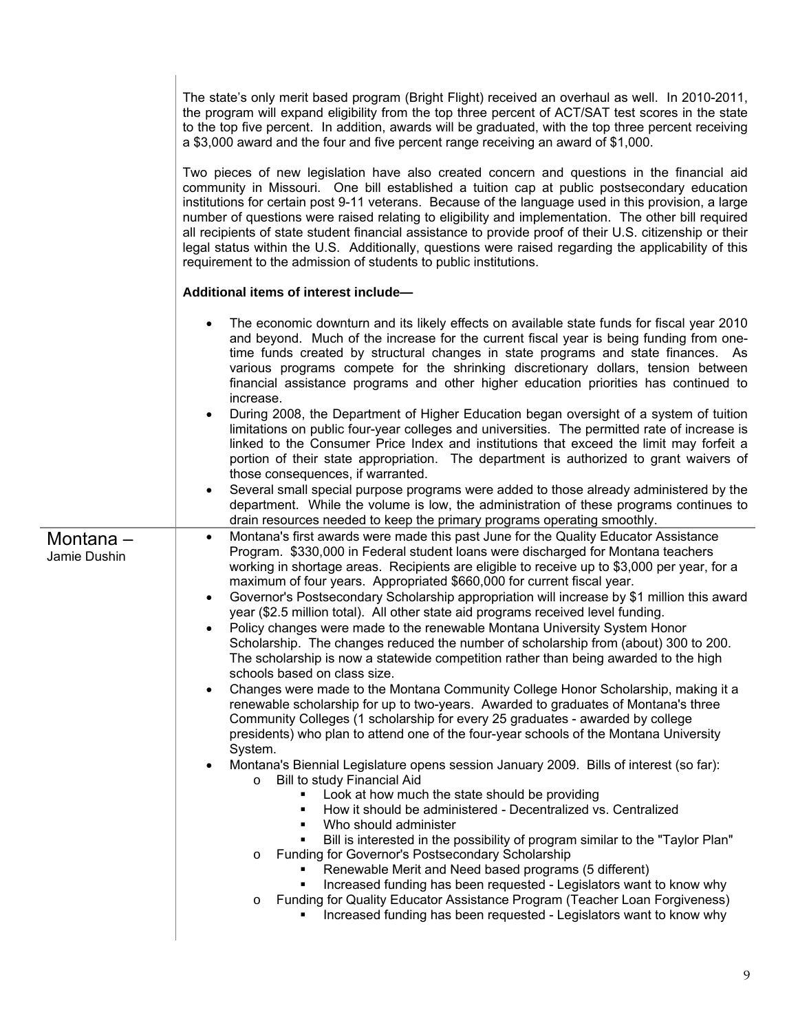The state's only merit based program (Bright Flight) received an overhaul as well. In 2010-2011, the program will expand eligibility from the top three percent of ACT/SAT test scores in the state to the top five percent. In addition, awards will be graduated, with the top three percent receiving a \$3,000 award and the four and five percent range receiving an award of \$1,000.

Two pieces of new legislation have also created concern and questions in the financial aid community in Missouri. One bill established a tuition cap at public postsecondary education institutions for certain post 9-11 veterans. Because of the language used in this provision, a large number of questions were raised relating to eligibility and implementation. The other bill required all recipients of state student financial assistance to provide proof of their U.S. citizenship or their legal status within the U.S. Additionally, questions were raised regarding the applicability of this requirement to the admission of students to public institutions.

#### **Additional items of interest include—**

|                          | The economic downturn and its likely effects on available state funds for fiscal year 2010<br>and beyond. Much of the increase for the current fiscal year is being funding from one-<br>time funds created by structural changes in state programs and state finances. As<br>various programs compete for the shrinking discretionary dollars, tension between<br>financial assistance programs and other higher education priorities has continued to<br>increase.<br>During 2008, the Department of Higher Education began oversight of a system of tuition<br>limitations on public four-year colleges and universities. The permitted rate of increase is                                                                                                                                                                                                                                                                                                                                                                                                                                                                                                                                                                                                                                                                                                                                                                                                                                                                                                                                                                                                                                                                                                                                                                                                                                                                                                               |
|--------------------------|------------------------------------------------------------------------------------------------------------------------------------------------------------------------------------------------------------------------------------------------------------------------------------------------------------------------------------------------------------------------------------------------------------------------------------------------------------------------------------------------------------------------------------------------------------------------------------------------------------------------------------------------------------------------------------------------------------------------------------------------------------------------------------------------------------------------------------------------------------------------------------------------------------------------------------------------------------------------------------------------------------------------------------------------------------------------------------------------------------------------------------------------------------------------------------------------------------------------------------------------------------------------------------------------------------------------------------------------------------------------------------------------------------------------------------------------------------------------------------------------------------------------------------------------------------------------------------------------------------------------------------------------------------------------------------------------------------------------------------------------------------------------------------------------------------------------------------------------------------------------------------------------------------------------------------------------------------------------------|
|                          | linked to the Consumer Price Index and institutions that exceed the limit may forfeit a<br>portion of their state appropriation. The department is authorized to grant waivers of<br>those consequences, if warranted.<br>Several small special purpose programs were added to those already administered by the<br>$\bullet$                                                                                                                                                                                                                                                                                                                                                                                                                                                                                                                                                                                                                                                                                                                                                                                                                                                                                                                                                                                                                                                                                                                                                                                                                                                                                                                                                                                                                                                                                                                                                                                                                                                |
|                          | department. While the volume is low, the administration of these programs continues to<br>drain resources needed to keep the primary programs operating smoothly.                                                                                                                                                                                                                                                                                                                                                                                                                                                                                                                                                                                                                                                                                                                                                                                                                                                                                                                                                                                                                                                                                                                                                                                                                                                                                                                                                                                                                                                                                                                                                                                                                                                                                                                                                                                                            |
| Montana-<br>Jamie Dushin | Montana's first awards were made this past June for the Quality Educator Assistance<br>Program. \$330,000 in Federal student loans were discharged for Montana teachers<br>working in shortage areas. Recipients are eligible to receive up to \$3,000 per year, for a<br>maximum of four years. Appropriated \$660,000 for current fiscal year.<br>Governor's Postsecondary Scholarship appropriation will increase by \$1 million this award<br>$\bullet$<br>year (\$2.5 million total). All other state aid programs received level funding.<br>Policy changes were made to the renewable Montana University System Honor<br>Scholarship. The changes reduced the number of scholarship from (about) 300 to 200.<br>The scholarship is now a statewide competition rather than being awarded to the high<br>schools based on class size.<br>Changes were made to the Montana Community College Honor Scholarship, making it a<br>renewable scholarship for up to two-years. Awarded to graduates of Montana's three<br>Community Colleges (1 scholarship for every 25 graduates - awarded by college<br>presidents) who plan to attend one of the four-year schools of the Montana University<br>System.<br>Montana's Biennial Legislature opens session January 2009. Bills of interest (so far):<br>Bill to study Financial Aid<br>$\circ$<br>Look at how much the state should be providing<br>٠<br>How it should be administered - Decentralized vs. Centralized<br>٠<br>Who should administer<br>٠<br>Bill is interested in the possibility of program similar to the "Taylor Plan"<br>$\blacksquare$<br>Funding for Governor's Postsecondary Scholarship<br>$\circ$<br>Renewable Merit and Need based programs (5 different)<br>Increased funding has been requested - Legislators want to know why<br>Funding for Quality Educator Assistance Program (Teacher Loan Forgiveness)<br>$\circ$<br>Increased funding has been requested - Legislators want to know why |
|                          |                                                                                                                                                                                                                                                                                                                                                                                                                                                                                                                                                                                                                                                                                                                                                                                                                                                                                                                                                                                                                                                                                                                                                                                                                                                                                                                                                                                                                                                                                                                                                                                                                                                                                                                                                                                                                                                                                                                                                                              |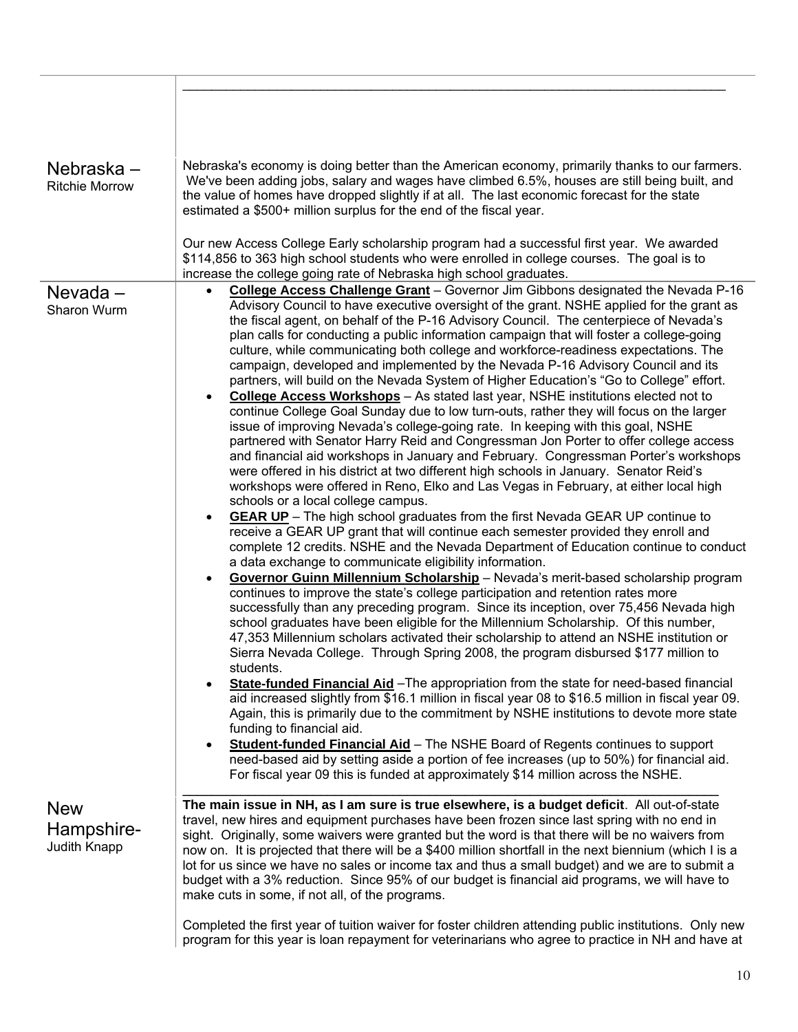| Nebraska –<br><b>Ritchie Morrow</b>      | Nebraska's economy is doing better than the American economy, primarily thanks to our farmers.<br>We've been adding jobs, salary and wages have climbed 6.5%, houses are still being built, and<br>the value of homes have dropped slightly if at all. The last economic forecast for the state<br>estimated a \$500+ million surplus for the end of the fiscal year.                                                                                                                                                                                                                                                                                                                                                                                                                                                                                                                                                                                                                                                                                                                                                                                                                                                                                                                                                                                                                                                                                                                                                                                                                                                                                                                                                                                                                                                                                                                                                                                                                                                                                                                                                                                                                                                                                                                                                                                                                                                                                                                                                                                                                                                                                                                                                                                                                                                                       |
|------------------------------------------|---------------------------------------------------------------------------------------------------------------------------------------------------------------------------------------------------------------------------------------------------------------------------------------------------------------------------------------------------------------------------------------------------------------------------------------------------------------------------------------------------------------------------------------------------------------------------------------------------------------------------------------------------------------------------------------------------------------------------------------------------------------------------------------------------------------------------------------------------------------------------------------------------------------------------------------------------------------------------------------------------------------------------------------------------------------------------------------------------------------------------------------------------------------------------------------------------------------------------------------------------------------------------------------------------------------------------------------------------------------------------------------------------------------------------------------------------------------------------------------------------------------------------------------------------------------------------------------------------------------------------------------------------------------------------------------------------------------------------------------------------------------------------------------------------------------------------------------------------------------------------------------------------------------------------------------------------------------------------------------------------------------------------------------------------------------------------------------------------------------------------------------------------------------------------------------------------------------------------------------------------------------------------------------------------------------------------------------------------------------------------------------------------------------------------------------------------------------------------------------------------------------------------------------------------------------------------------------------------------------------------------------------------------------------------------------------------------------------------------------------------------------------------------------------------------------------------------------------|
|                                          | Our new Access College Early scholarship program had a successful first year. We awarded<br>\$114,856 to 363 high school students who were enrolled in college courses. The goal is to<br>increase the college going rate of Nebraska high school graduates.                                                                                                                                                                                                                                                                                                                                                                                                                                                                                                                                                                                                                                                                                                                                                                                                                                                                                                                                                                                                                                                                                                                                                                                                                                                                                                                                                                                                                                                                                                                                                                                                                                                                                                                                                                                                                                                                                                                                                                                                                                                                                                                                                                                                                                                                                                                                                                                                                                                                                                                                                                                |
| $Nevada -$<br>Sharon Wurm                | College Access Challenge Grant - Governor Jim Gibbons designated the Nevada P-16<br>Advisory Council to have executive oversight of the grant. NSHE applied for the grant as<br>the fiscal agent, on behalf of the P-16 Advisory Council. The centerpiece of Nevada's<br>plan calls for conducting a public information campaign that will foster a college-going<br>culture, while communicating both college and workforce-readiness expectations. The<br>campaign, developed and implemented by the Nevada P-16 Advisory Council and its<br>partners, will build on the Nevada System of Higher Education's "Go to College" effort.<br><b>College Access Workshops</b> - As stated last year, NSHE institutions elected not to<br>$\bullet$<br>continue College Goal Sunday due to low turn-outs, rather they will focus on the larger<br>issue of improving Nevada's college-going rate. In keeping with this goal, NSHE<br>partnered with Senator Harry Reid and Congressman Jon Porter to offer college access<br>and financial aid workshops in January and February. Congressman Porter's workshops<br>were offered in his district at two different high schools in January. Senator Reid's<br>workshops were offered in Reno, Elko and Las Vegas in February, at either local high<br>schools or a local college campus.<br><b>GEAR UP</b> - The high school graduates from the first Nevada GEAR UP continue to<br>receive a GEAR UP grant that will continue each semester provided they enroll and<br>complete 12 credits. NSHE and the Nevada Department of Education continue to conduct<br>a data exchange to communicate eligibility information.<br>Governor Guinn Millennium Scholarship - Nevada's merit-based scholarship program<br>continues to improve the state's college participation and retention rates more<br>successfully than any preceding program. Since its inception, over 75,456 Nevada high<br>school graduates have been eligible for the Millennium Scholarship. Of this number,<br>47,353 Millennium scholars activated their scholarship to attend an NSHE institution or<br>Sierra Nevada College. Through Spring 2008, the program disbursed \$177 million to<br>students.<br>State-funded Financial Aid - The appropriation from the state for need-based financial<br>$\bullet$<br>aid increased slightly from \$16.1 million in fiscal year 08 to \$16.5 million in fiscal year 09.<br>Again, this is primarily due to the commitment by NSHE institutions to devote more state<br>funding to financial aid.<br>Student-funded Financial Aid - The NSHE Board of Regents continues to support<br>$\bullet$<br>need-based aid by setting aside a portion of fee increases (up to 50%) for financial aid.<br>For fiscal year 09 this is funded at approximately \$14 million across the NSHE. |
| <b>New</b><br>Hampshire-<br>Judith Knapp | The main issue in NH, as I am sure is true elsewhere, is a budget deficit. All out-of-state<br>travel, new hires and equipment purchases have been frozen since last spring with no end in<br>sight. Originally, some waivers were granted but the word is that there will be no waivers from<br>now on. It is projected that there will be a \$400 million shortfall in the next biennium (which I is a<br>lot for us since we have no sales or income tax and thus a small budget) and we are to submit a<br>budget with a 3% reduction. Since 95% of our budget is financial aid programs, we will have to<br>make cuts in some, if not all, of the programs.                                                                                                                                                                                                                                                                                                                                                                                                                                                                                                                                                                                                                                                                                                                                                                                                                                                                                                                                                                                                                                                                                                                                                                                                                                                                                                                                                                                                                                                                                                                                                                                                                                                                                                                                                                                                                                                                                                                                                                                                                                                                                                                                                                            |
|                                          | Completed the first year of tuition waiver for foster children attending public institutions. Only new<br>program for this year is loan repayment for veterinarians who agree to practice in NH and have at                                                                                                                                                                                                                                                                                                                                                                                                                                                                                                                                                                                                                                                                                                                                                                                                                                                                                                                                                                                                                                                                                                                                                                                                                                                                                                                                                                                                                                                                                                                                                                                                                                                                                                                                                                                                                                                                                                                                                                                                                                                                                                                                                                                                                                                                                                                                                                                                                                                                                                                                                                                                                                 |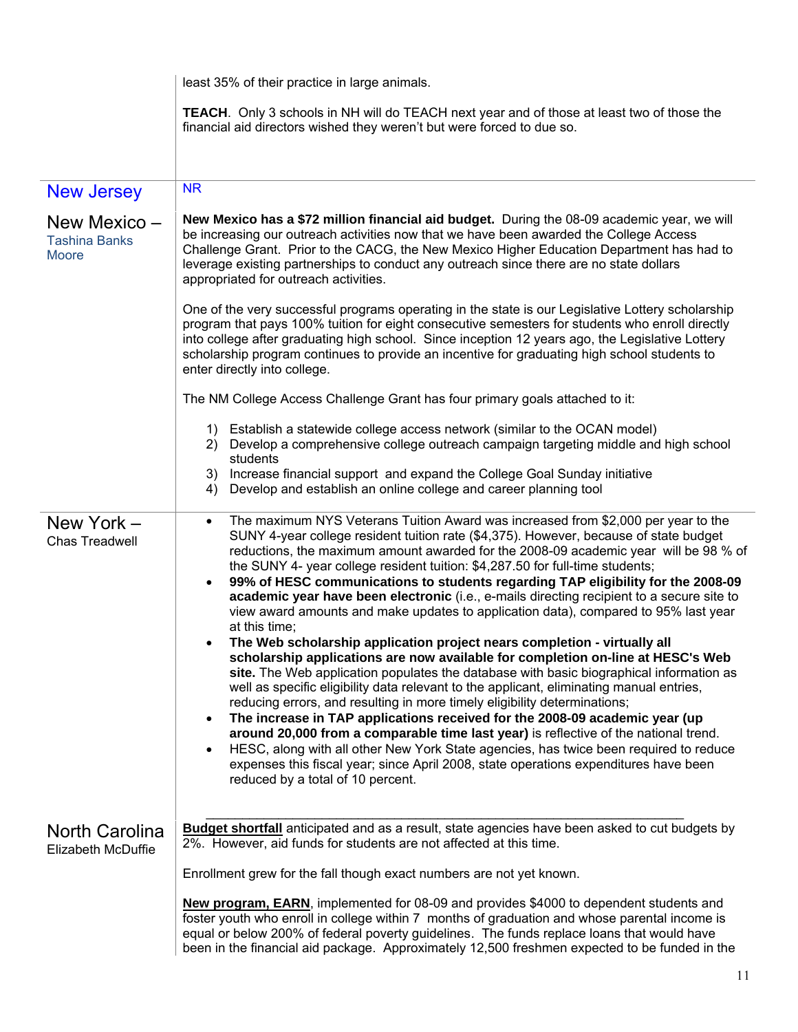|                                                                           | least 35% of their practice in large animals.                                                                                                                                                                                                                                                                                                                                                                                                                                                                                                                                                                                                                                                                                                                                                                                                                                                                                                                                                                                                                                                                                                                                                                                                                                                                                                                                                                                                                                                                                    |  |  |  |  |
|---------------------------------------------------------------------------|----------------------------------------------------------------------------------------------------------------------------------------------------------------------------------------------------------------------------------------------------------------------------------------------------------------------------------------------------------------------------------------------------------------------------------------------------------------------------------------------------------------------------------------------------------------------------------------------------------------------------------------------------------------------------------------------------------------------------------------------------------------------------------------------------------------------------------------------------------------------------------------------------------------------------------------------------------------------------------------------------------------------------------------------------------------------------------------------------------------------------------------------------------------------------------------------------------------------------------------------------------------------------------------------------------------------------------------------------------------------------------------------------------------------------------------------------------------------------------------------------------------------------------|--|--|--|--|
|                                                                           | TEACH. Only 3 schools in NH will do TEACH next year and of those at least two of those the<br>financial aid directors wished they weren't but were forced to due so.                                                                                                                                                                                                                                                                                                                                                                                                                                                                                                                                                                                                                                                                                                                                                                                                                                                                                                                                                                                                                                                                                                                                                                                                                                                                                                                                                             |  |  |  |  |
|                                                                           | <b>NR</b>                                                                                                                                                                                                                                                                                                                                                                                                                                                                                                                                                                                                                                                                                                                                                                                                                                                                                                                                                                                                                                                                                                                                                                                                                                                                                                                                                                                                                                                                                                                        |  |  |  |  |
| <b>New Jersey</b><br>New Mexico -<br><b>Tashina Banks</b><br><b>Moore</b> | New Mexico has a \$72 million financial aid budget. During the 08-09 academic year, we will<br>be increasing our outreach activities now that we have been awarded the College Access<br>Challenge Grant. Prior to the CACG, the New Mexico Higher Education Department has had to<br>leverage existing partnerships to conduct any outreach since there are no state dollars                                                                                                                                                                                                                                                                                                                                                                                                                                                                                                                                                                                                                                                                                                                                                                                                                                                                                                                                                                                                                                                                                                                                                    |  |  |  |  |
|                                                                           | appropriated for outreach activities.<br>One of the very successful programs operating in the state is our Legislative Lottery scholarship<br>program that pays 100% tuition for eight consecutive semesters for students who enroll directly<br>into college after graduating high school. Since inception 12 years ago, the Legislative Lottery<br>scholarship program continues to provide an incentive for graduating high school students to<br>enter directly into college.                                                                                                                                                                                                                                                                                                                                                                                                                                                                                                                                                                                                                                                                                                                                                                                                                                                                                                                                                                                                                                                |  |  |  |  |
|                                                                           | The NM College Access Challenge Grant has four primary goals attached to it:                                                                                                                                                                                                                                                                                                                                                                                                                                                                                                                                                                                                                                                                                                                                                                                                                                                                                                                                                                                                                                                                                                                                                                                                                                                                                                                                                                                                                                                     |  |  |  |  |
|                                                                           | 1) Establish a statewide college access network (similar to the OCAN model)<br>2) Develop a comprehensive college outreach campaign targeting middle and high school<br>students<br>Increase financial support and expand the College Goal Sunday initiative<br>3)<br>Develop and establish an online college and career planning tool<br>4)                                                                                                                                                                                                                                                                                                                                                                                                                                                                                                                                                                                                                                                                                                                                                                                                                                                                                                                                                                                                                                                                                                                                                                                     |  |  |  |  |
| New York -<br>Chas Treadwell                                              | The maximum NYS Veterans Tuition Award was increased from \$2,000 per year to the<br>$\bullet$<br>SUNY 4-year college resident tuition rate (\$4,375). However, because of state budget<br>reductions, the maximum amount awarded for the 2008-09 academic year will be 98 % of<br>the SUNY 4- year college resident tuition: \$4,287.50 for full-time students;<br>99% of HESC communications to students regarding TAP eligibility for the 2008-09<br>$\bullet$<br>academic year have been electronic (i.e., e-mails directing recipient to a secure site to<br>view award amounts and make updates to application data), compared to 95% last year<br>at this time;<br>The Web scholarship application project nears completion - virtually all<br>scholarship applications are now available for completion on-line at HESC's Web<br>site. The Web application populates the database with basic biographical information as<br>well as specific eligibility data relevant to the applicant, eliminating manual entries,<br>reducing errors, and resulting in more timely eligibility determinations;<br>The increase in TAP applications received for the 2008-09 academic year (up<br>$\bullet$<br>around 20,000 from a comparable time last year) is reflective of the national trend.<br>HESC, along with all other New York State agencies, has twice been required to reduce<br>$\bullet$<br>expenses this fiscal year; since April 2008, state operations expenditures have been<br>reduced by a total of 10 percent. |  |  |  |  |
| <b>North Carolina</b><br>Elizabeth McDuffie                               | <b>Budget shortfall</b> anticipated and as a result, state agencies have been asked to cut budgets by<br>2%. However, aid funds for students are not affected at this time.<br>Enrollment grew for the fall though exact numbers are not yet known.                                                                                                                                                                                                                                                                                                                                                                                                                                                                                                                                                                                                                                                                                                                                                                                                                                                                                                                                                                                                                                                                                                                                                                                                                                                                              |  |  |  |  |
|                                                                           | New program, EARN, implemented for 08-09 and provides \$4000 to dependent students and<br>foster youth who enroll in college within 7 months of graduation and whose parental income is<br>equal or below 200% of federal poverty guidelines. The funds replace loans that would have<br>been in the financial aid package. Approximately 12,500 freshmen expected to be funded in the                                                                                                                                                                                                                                                                                                                                                                                                                                                                                                                                                                                                                                                                                                                                                                                                                                                                                                                                                                                                                                                                                                                                           |  |  |  |  |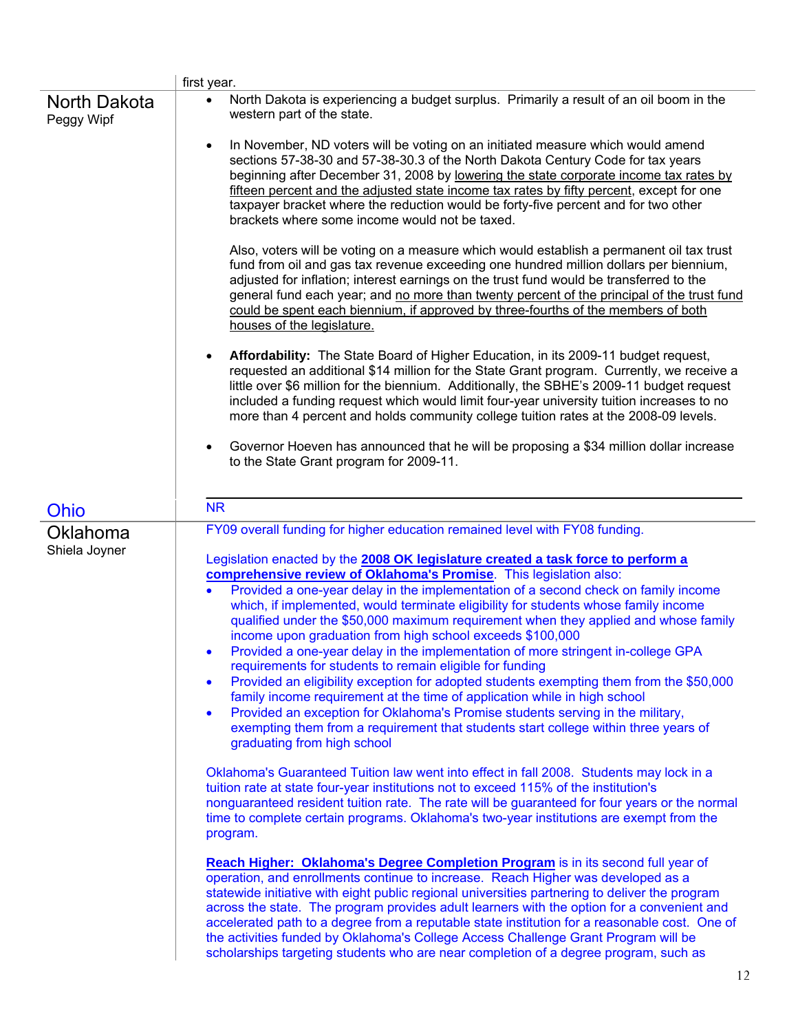|                            | first year.                                                                                                                                                                                                                                                                                                                                                                                                                                                                                                                                                                                                                                                                                                                                                                                                                                                                                                                                                                                                                                                                                                                                                                                                                                                                                                                                                                                                                                                                                                                                           |
|----------------------------|-------------------------------------------------------------------------------------------------------------------------------------------------------------------------------------------------------------------------------------------------------------------------------------------------------------------------------------------------------------------------------------------------------------------------------------------------------------------------------------------------------------------------------------------------------------------------------------------------------------------------------------------------------------------------------------------------------------------------------------------------------------------------------------------------------------------------------------------------------------------------------------------------------------------------------------------------------------------------------------------------------------------------------------------------------------------------------------------------------------------------------------------------------------------------------------------------------------------------------------------------------------------------------------------------------------------------------------------------------------------------------------------------------------------------------------------------------------------------------------------------------------------------------------------------------|
| North Dakota<br>Peggy Wipf | North Dakota is experiencing a budget surplus. Primarily a result of an oil boom in the<br>western part of the state.                                                                                                                                                                                                                                                                                                                                                                                                                                                                                                                                                                                                                                                                                                                                                                                                                                                                                                                                                                                                                                                                                                                                                                                                                                                                                                                                                                                                                                 |
|                            | In November, ND voters will be voting on an initiated measure which would amend<br>$\bullet$<br>sections 57-38-30 and 57-38-30.3 of the North Dakota Century Code for tax years<br>beginning after December 31, 2008 by lowering the state corporate income tax rates by<br>fifteen percent and the adjusted state income tax rates by fifty percent, except for one<br>taxpayer bracket where the reduction would be forty-five percent and for two other<br>brackets where some income would not be taxed.                                                                                                                                                                                                                                                                                                                                                                                                                                                                                                                                                                                                                                                                                                                                                                                                                                                                                                                                                                                                                                          |
|                            | Also, voters will be voting on a measure which would establish a permanent oil tax trust<br>fund from oil and gas tax revenue exceeding one hundred million dollars per biennium,<br>adjusted for inflation; interest earnings on the trust fund would be transferred to the<br>general fund each year; and no more than twenty percent of the principal of the trust fund<br>could be spent each biennium, if approved by three-fourths of the members of both<br>houses of the legislature.                                                                                                                                                                                                                                                                                                                                                                                                                                                                                                                                                                                                                                                                                                                                                                                                                                                                                                                                                                                                                                                         |
|                            | Affordability: The State Board of Higher Education, in its 2009-11 budget request,<br>$\bullet$<br>requested an additional \$14 million for the State Grant program. Currently, we receive a<br>little over \$6 million for the biennium. Additionally, the SBHE's 2009-11 budget request<br>included a funding request which would limit four-year university tuition increases to no<br>more than 4 percent and holds community college tuition rates at the 2008-09 levels.                                                                                                                                                                                                                                                                                                                                                                                                                                                                                                                                                                                                                                                                                                                                                                                                                                                                                                                                                                                                                                                                        |
|                            | Governor Hoeven has announced that he will be proposing a \$34 million dollar increase<br>$\bullet$<br>to the State Grant program for 2009-11.                                                                                                                                                                                                                                                                                                                                                                                                                                                                                                                                                                                                                                                                                                                                                                                                                                                                                                                                                                                                                                                                                                                                                                                                                                                                                                                                                                                                        |
| Ohio                       | <b>NR</b>                                                                                                                                                                                                                                                                                                                                                                                                                                                                                                                                                                                                                                                                                                                                                                                                                                                                                                                                                                                                                                                                                                                                                                                                                                                                                                                                                                                                                                                                                                                                             |
| Oklahoma<br>Shiela Joyner  | FY09 overall funding for higher education remained level with FY08 funding.<br>Legislation enacted by the 2008 OK legislature created a task force to perform a<br>comprehensive review of Oklahoma's Promise. This legislation also:<br>Provided a one-year delay in the implementation of a second check on family income<br>$\bullet$<br>which, if implemented, would terminate eligibility for students whose family income<br>qualified under the \$50,000 maximum requirement when they applied and whose family<br>income upon graduation from high school exceeds \$100,000<br>Provided a one-year delay in the implementation of more stringent in-college GPA<br>$\bullet$<br>requirements for students to remain eligible for funding<br>Provided an eligibility exception for adopted students exempting them from the \$50,000<br>$\bullet$<br>family income requirement at the time of application while in high school<br>Provided an exception for Oklahoma's Promise students serving in the military,<br>$\bullet$<br>exempting them from a requirement that students start college within three years of<br>graduating from high school<br>Oklahoma's Guaranteed Tuition law went into effect in fall 2008. Students may lock in a<br>tuition rate at state four-year institutions not to exceed 115% of the institution's<br>nonguaranteed resident tuition rate. The rate will be guaranteed for four years or the normal<br>time to complete certain programs. Oklahoma's two-year institutions are exempt from the<br>program. |
|                            | Reach Higher: Oklahoma's Degree Completion Program is in its second full year of<br>operation, and enrollments continue to increase. Reach Higher was developed as a<br>statewide initiative with eight public regional universities partnering to deliver the program<br>across the state. The program provides adult learners with the option for a convenient and<br>accelerated path to a degree from a reputable state institution for a reasonable cost. One of<br>the activities funded by Oklahoma's College Access Challenge Grant Program will be<br>scholarships targeting students who are near completion of a degree program, such as                                                                                                                                                                                                                                                                                                                                                                                                                                                                                                                                                                                                                                                                                                                                                                                                                                                                                                   |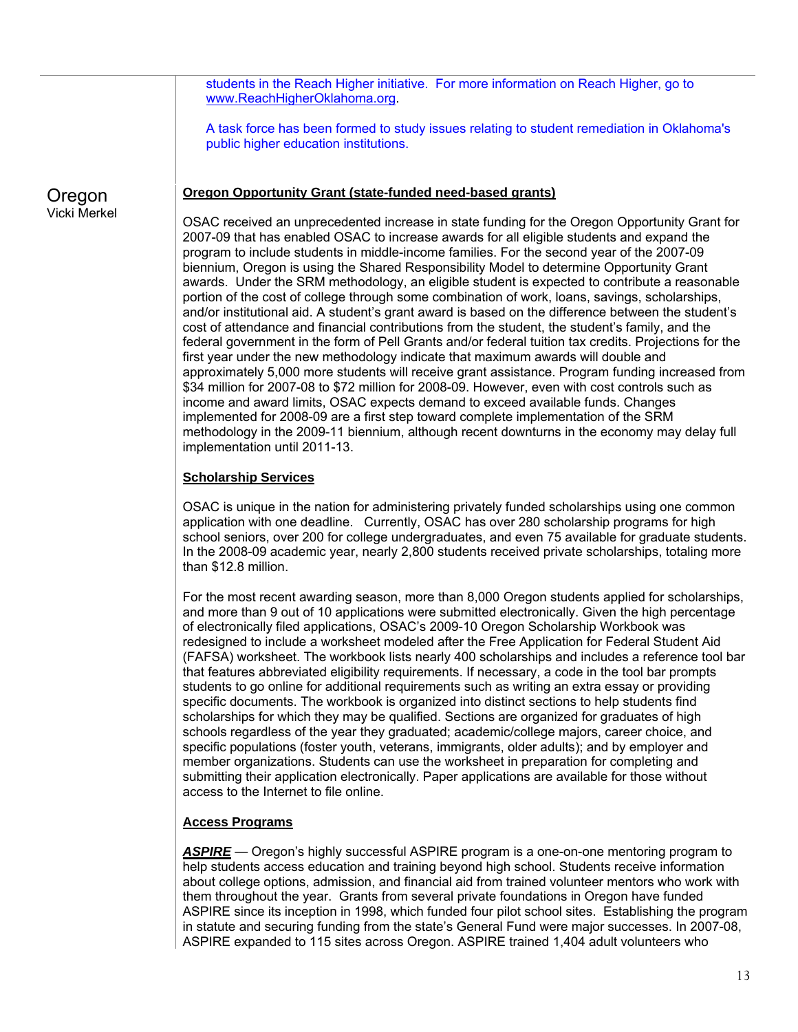students in the Reach Higher initiative. For more information on Reach Higher, go to www.ReachHigherOklahoma.org.

A task force has been formed to study issues relating to student remediation in Oklahoma's public higher education institutions.

#### **Oregon Opportunity Grant (state-funded need-based grants)**

Oregon Vicki Merkel

OSAC received an unprecedented increase in state funding for the Oregon Opportunity Grant for 2007-09 that has enabled OSAC to increase awards for all eligible students and expand the program to include students in middle-income families. For the second year of the 2007-09 biennium, Oregon is using the Shared Responsibility Model to determine Opportunity Grant awards. Under the SRM methodology, an eligible student is expected to contribute a reasonable portion of the cost of college through some combination of work, loans, savings, scholarships, and/or institutional aid. A student's grant award is based on the difference between the student's cost of attendance and financial contributions from the student, the student's family, and the federal government in the form of Pell Grants and/or federal tuition tax credits. Projections for the first year under the new methodology indicate that maximum awards will double and approximately 5,000 more students will receive grant assistance. Program funding increased from \$34 million for 2007-08 to \$72 million for 2008-09. However, even with cost controls such as income and award limits, OSAC expects demand to exceed available funds. Changes implemented for 2008-09 are a first step toward complete implementation of the SRM methodology in the 2009-11 biennium, although recent downturns in the economy may delay full implementation until 2011-13.

## **Scholarship Services**

OSAC is unique in the nation for administering privately funded scholarships using one common application with one deadline. Currently, OSAC has over 280 scholarship programs for high school seniors, over 200 for college undergraduates, and even 75 available for graduate students. In the 2008-09 academic year, nearly 2,800 students received private scholarships, totaling more than \$12.8 million.

For the most recent awarding season, more than 8,000 Oregon students applied for scholarships, and more than 9 out of 10 applications were submitted electronically. Given the high percentage of electronically filed applications, OSAC's 2009-10 Oregon Scholarship Workbook was redesigned to include a worksheet modeled after the Free Application for Federal Student Aid (FAFSA) worksheet. The workbook lists nearly 400 scholarships and includes a reference tool bar that features abbreviated eligibility requirements. If necessary, a code in the tool bar prompts students to go online for additional requirements such as writing an extra essay or providing specific documents. The workbook is organized into distinct sections to help students find scholarships for which they may be qualified. Sections are organized for graduates of high schools regardless of the year they graduated; academic/college majors, career choice, and specific populations (foster youth, veterans, immigrants, older adults); and by employer and member organizations. Students can use the worksheet in preparation for completing and submitting their application electronically. Paper applications are available for those without access to the Internet to file online.

#### **Access Programs**

*ASPIRE* — Oregon's highly successful ASPIRE program is a one-on-one mentoring program to help students access education and training beyond high school. Students receive information about college options, admission, and financial aid from trained volunteer mentors who work with them throughout the year. Grants from several private foundations in Oregon have funded ASPIRE since its inception in 1998, which funded four pilot school sites. Establishing the program in statute and securing funding from the state's General Fund were major successes. In 2007-08, ASPIRE expanded to 115 sites across Oregon. ASPIRE trained 1,404 adult volunteers who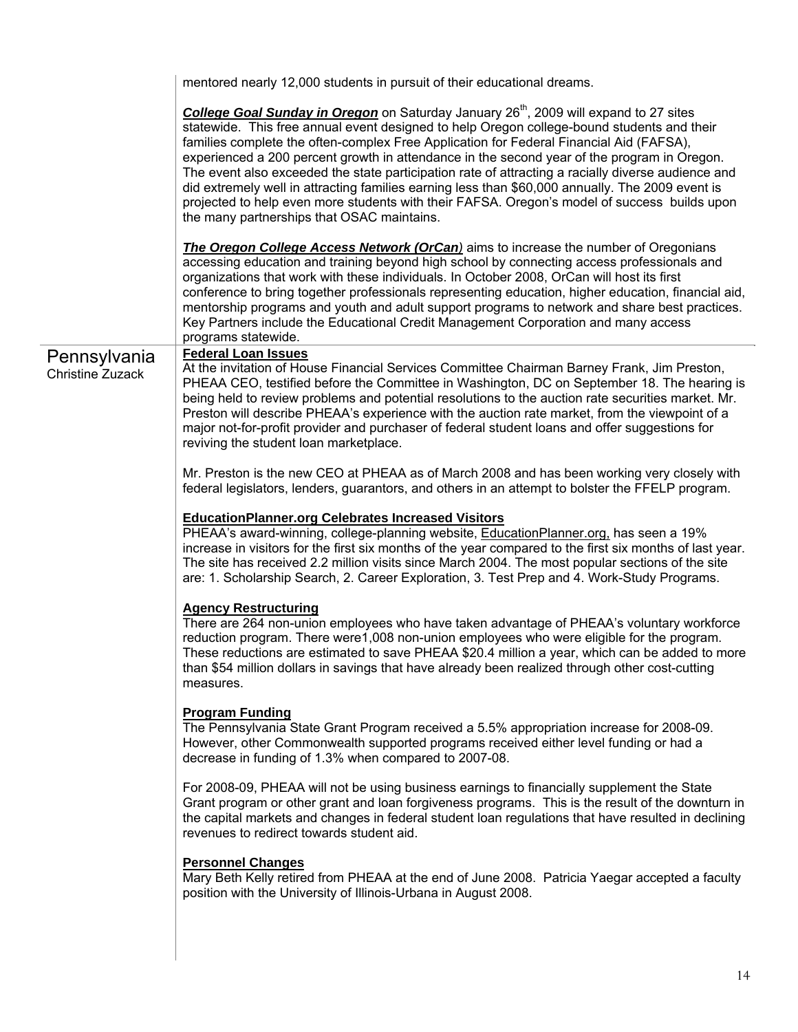|                                         | mentored nearly 12,000 students in pursuit of their educational dreams.                                                                                                                                                                                                                                                                                                                                                                                                                                                                                                                                                                                                                                                                           |
|-----------------------------------------|---------------------------------------------------------------------------------------------------------------------------------------------------------------------------------------------------------------------------------------------------------------------------------------------------------------------------------------------------------------------------------------------------------------------------------------------------------------------------------------------------------------------------------------------------------------------------------------------------------------------------------------------------------------------------------------------------------------------------------------------------|
|                                         | College Goal Sunday in Oregon on Saturday January 26 <sup>th</sup> , 2009 will expand to 27 sites<br>statewide. This free annual event designed to help Oregon college-bound students and their<br>families complete the often-complex Free Application for Federal Financial Aid (FAFSA),<br>experienced a 200 percent growth in attendance in the second year of the program in Oregon.<br>The event also exceeded the state participation rate of attracting a racially diverse audience and<br>did extremely well in attracting families earning less than \$60,000 annually. The 2009 event is<br>projected to help even more students with their FAFSA. Oregon's model of success builds upon<br>the many partnerships that OSAC maintains. |
|                                         | <b>The Oregon College Access Network (OrCan)</b> aims to increase the number of Oregonians<br>accessing education and training beyond high school by connecting access professionals and<br>organizations that work with these individuals. In October 2008, OrCan will host its first<br>conference to bring together professionals representing education, higher education, financial aid,<br>mentorship programs and youth and adult support programs to network and share best practices.<br>Key Partners include the Educational Credit Management Corporation and many access<br>programs statewide.                                                                                                                                       |
| Pennsylvania<br><b>Christine Zuzack</b> | <b>Federal Loan Issues</b><br>At the invitation of House Financial Services Committee Chairman Barney Frank, Jim Preston,<br>PHEAA CEO, testified before the Committee in Washington, DC on September 18. The hearing is<br>being held to review problems and potential resolutions to the auction rate securities market. Mr.<br>Preston will describe PHEAA's experience with the auction rate market, from the viewpoint of a<br>major not-for-profit provider and purchaser of federal student loans and offer suggestions for<br>reviving the student loan marketplace.                                                                                                                                                                      |
|                                         | Mr. Preston is the new CEO at PHEAA as of March 2008 and has been working very closely with<br>federal legislators, lenders, guarantors, and others in an attempt to bolster the FFELP program.                                                                                                                                                                                                                                                                                                                                                                                                                                                                                                                                                   |
|                                         | <b>EducationPlanner.org Celebrates Increased Visitors</b><br>PHEAA's award-winning, college-planning website, EducationPlanner.org, has seen a 19%<br>increase in visitors for the first six months of the year compared to the first six months of last year.<br>The site has received 2.2 million visits since March 2004. The most popular sections of the site<br>are: 1. Scholarship Search, 2. Career Exploration, 3. Test Prep and 4. Work-Study Programs.                                                                                                                                                                                                                                                                                 |
|                                         | <b>Agency Restructuring</b><br>There are 264 non-union employees who have taken advantage of PHEAA's voluntary workforce<br>reduction program. There were1,008 non-union employees who were eligible for the program.<br>These reductions are estimated to save PHEAA \$20.4 million a year, which can be added to more<br>than \$54 million dollars in savings that have already been realized through other cost-cutting<br>measures.                                                                                                                                                                                                                                                                                                           |
|                                         | <b>Program Funding</b><br>The Pennsylvania State Grant Program received a 5.5% appropriation increase for 2008-09.<br>However, other Commonwealth supported programs received either level funding or had a<br>decrease in funding of 1.3% when compared to 2007-08.                                                                                                                                                                                                                                                                                                                                                                                                                                                                              |
|                                         | For 2008-09, PHEAA will not be using business earnings to financially supplement the State<br>Grant program or other grant and loan forgiveness programs. This is the result of the downturn in<br>the capital markets and changes in federal student loan regulations that have resulted in declining<br>revenues to redirect towards student aid.                                                                                                                                                                                                                                                                                                                                                                                               |
|                                         | <b>Personnel Changes</b><br>Mary Beth Kelly retired from PHEAA at the end of June 2008. Patricia Yaegar accepted a faculty<br>position with the University of Illinois-Urbana in August 2008.                                                                                                                                                                                                                                                                                                                                                                                                                                                                                                                                                     |
|                                         |                                                                                                                                                                                                                                                                                                                                                                                                                                                                                                                                                                                                                                                                                                                                                   |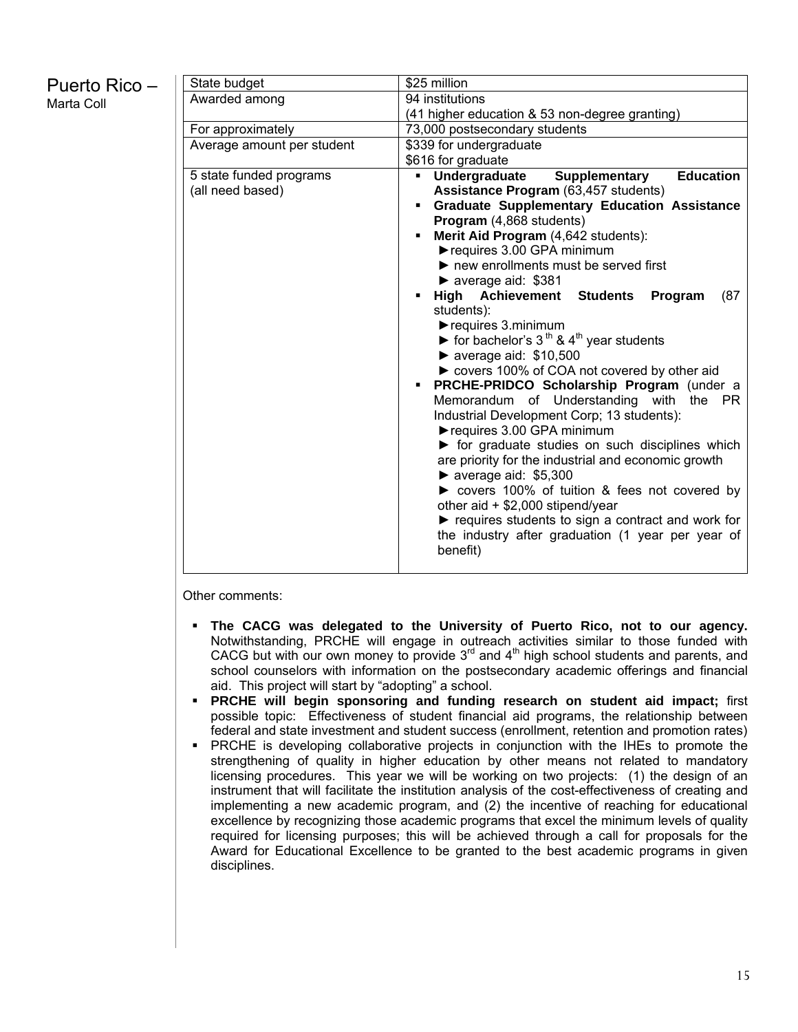## Puerto Rico – Marta Coll

| State budget               |   | \$25 million                                                            |
|----------------------------|---|-------------------------------------------------------------------------|
| Awarded among              |   | 94 institutions                                                         |
|                            |   | (41 higher education & 53 non-degree granting)                          |
| For approximately          |   | 73,000 postsecondary students                                           |
| Average amount per student |   | \$339 for undergraduate                                                 |
|                            |   | \$616 for graduate                                                      |
| 5 state funded programs    |   | <b>Education</b><br>Supplementary<br>Undergraduate                      |
| (all need based)           |   | Assistance Program (63,457 students)                                    |
|                            |   | <b>Graduate Supplementary Education Assistance</b>                      |
|                            |   | Program (4,868 students)                                                |
|                            |   | Merit Aid Program (4,642 students):                                     |
|                            |   | requires 3.00 GPA minimum                                               |
|                            |   | $\blacktriangleright$ new enrollments must be served first              |
|                            |   | $\triangleright$ average aid: \$381                                     |
|                            | ٠ | <b>High Achievement Students</b><br>Program<br>(87<br>students):        |
|                            |   | requires 3.minimum                                                      |
|                            |   | ▶ for bachelor's $3th$ & $4th$ year students                            |
|                            |   | $\blacktriangleright$ average aid: \$10,500                             |
|                            |   | ► covers 100% of COA not covered by other aid                           |
|                            | ٠ | PRCHE-PRIDCO Scholarship Program (under a                               |
|                            |   | Memorandum of Understanding with<br>the PR                              |
|                            |   | Industrial Development Corp; 13 students):                              |
|                            |   | requires 3.00 GPA minimum                                               |
|                            |   | $\triangleright$ for graduate studies on such disciplines which         |
|                            |   | are priority for the industrial and economic growth                     |
|                            |   | $\blacktriangleright$ average aid: \$5,300                              |
|                            |   | ► covers 100% of tuition & fees not covered by                          |
|                            |   | other aid + \$2,000 stipend/year                                        |
|                            |   | $\blacktriangleright$ requires students to sign a contract and work for |
|                            |   | the industry after graduation (1 year per year of                       |
|                            |   | benefit)                                                                |
|                            |   |                                                                         |

Other comments:

- **The CACG was delegated to the University of Puerto Rico, not to our agency.** Notwithstanding, PRCHE will engage in outreach activities similar to those funded with CACG but with our own money to provide  $3<sup>rd</sup>$  and  $4<sup>th</sup>$  high school students and parents, and school counselors with information on the postsecondary academic offerings and financial aid. This project will start by "adopting" a school.
- **PRCHE will begin sponsoring and funding research on student aid impact;** first possible topic: Effectiveness of student financial aid programs, the relationship between federal and state investment and student success (enrollment, retention and promotion rates)
- **PRCHE** is developing collaborative projects in conjunction with the IHEs to promote the strengthening of quality in higher education by other means not related to mandatory licensing procedures. This year we will be working on two projects: (1) the design of an instrument that will facilitate the institution analysis of the cost-effectiveness of creating and implementing a new academic program, and (2) the incentive of reaching for educational excellence by recognizing those academic programs that excel the minimum levels of quality required for licensing purposes; this will be achieved through a call for proposals for the Award for Educational Excellence to be granted to the best academic programs in given disciplines.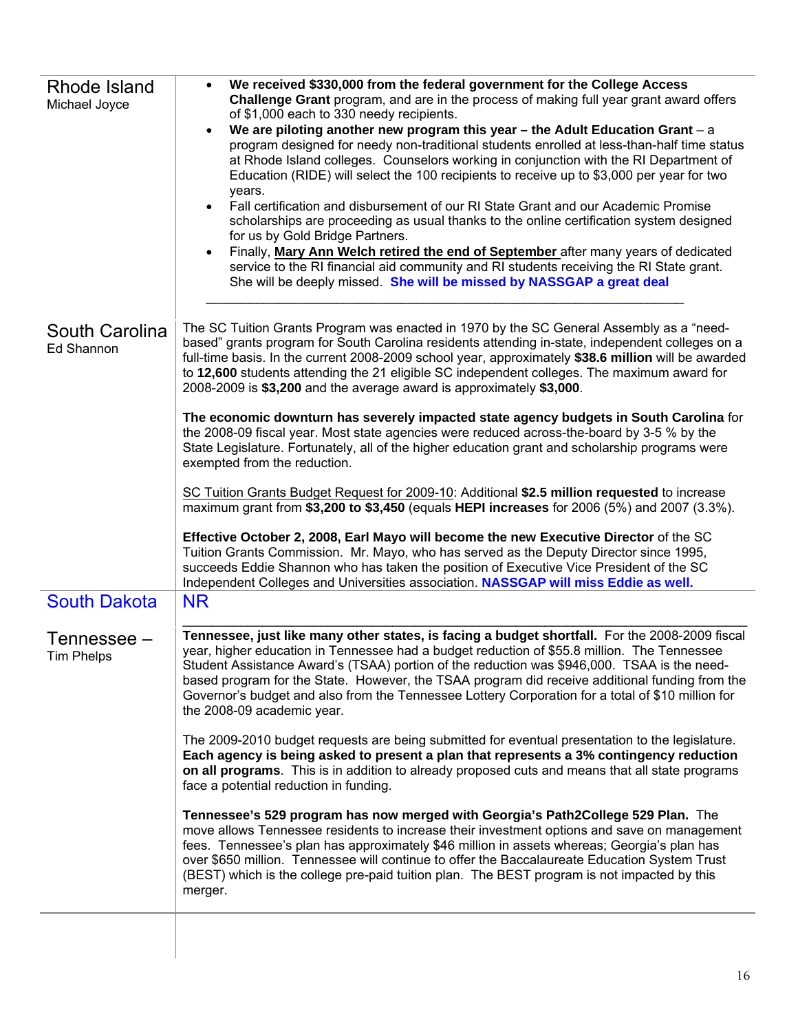| Rhode Island<br>Michael Joyce    | We received \$330,000 from the federal government for the College Access<br>Challenge Grant program, and are in the process of making full year grant award offers<br>of \$1,000 each to 330 needy recipients.<br>We are piloting another new program this year - the Adult Education Grant - a<br>program designed for needy non-traditional students enrolled at less-than-half time status<br>at Rhode Island colleges. Counselors working in conjunction with the RI Department of<br>Education (RIDE) will select the 100 recipients to receive up to \$3,000 per year for two<br>years.<br>Fall certification and disbursement of our RI State Grant and our Academic Promise<br>$\bullet$<br>scholarships are proceeding as usual thanks to the online certification system designed<br>for us by Gold Bridge Partners.<br>Finally, Mary Ann Welch retired the end of September after many years of dedicated<br>service to the RI financial aid community and RI students receiving the RI State grant.<br>She will be deeply missed. She will be missed by NASSGAP a great deal |  |  |  |  |
|----------------------------------|------------------------------------------------------------------------------------------------------------------------------------------------------------------------------------------------------------------------------------------------------------------------------------------------------------------------------------------------------------------------------------------------------------------------------------------------------------------------------------------------------------------------------------------------------------------------------------------------------------------------------------------------------------------------------------------------------------------------------------------------------------------------------------------------------------------------------------------------------------------------------------------------------------------------------------------------------------------------------------------------------------------------------------------------------------------------------------------|--|--|--|--|
| South Carolina<br>Ed Shannon     | The SC Tuition Grants Program was enacted in 1970 by the SC General Assembly as a "need-<br>based" grants program for South Carolina residents attending in-state, independent colleges on a<br>full-time basis. In the current 2008-2009 school year, approximately \$38.6 million will be awarded<br>to 12,600 students attending the 21 eligible SC independent colleges. The maximum award for<br>2008-2009 is \$3,200 and the average award is approximately \$3,000.                                                                                                                                                                                                                                                                                                                                                                                                                                                                                                                                                                                                               |  |  |  |  |
|                                  | The economic downturn has severely impacted state agency budgets in South Carolina for<br>the 2008-09 fiscal year. Most state agencies were reduced across-the-board by 3-5 % by the<br>State Legislature. Fortunately, all of the higher education grant and scholarship programs were<br>exempted from the reduction.                                                                                                                                                                                                                                                                                                                                                                                                                                                                                                                                                                                                                                                                                                                                                                  |  |  |  |  |
|                                  | SC Tuition Grants Budget Request for 2009-10: Additional \$2.5 million requested to increase<br>maximum grant from \$3,200 to \$3,450 (equals HEPI increases for 2006 (5%) and 2007 (3.3%).                                                                                                                                                                                                                                                                                                                                                                                                                                                                                                                                                                                                                                                                                                                                                                                                                                                                                              |  |  |  |  |
|                                  | Effective October 2, 2008, Earl Mayo will become the new Executive Director of the SC<br>Tuition Grants Commission. Mr. Mayo, who has served as the Deputy Director since 1995,<br>succeeds Eddie Shannon who has taken the position of Executive Vice President of the SC<br>Independent Colleges and Universities association. NASSGAP will miss Eddie as well.                                                                                                                                                                                                                                                                                                                                                                                                                                                                                                                                                                                                                                                                                                                        |  |  |  |  |
| <b>South Dakota</b>              | <b>NR</b>                                                                                                                                                                                                                                                                                                                                                                                                                                                                                                                                                                                                                                                                                                                                                                                                                                                                                                                                                                                                                                                                                |  |  |  |  |
| Tennessee –<br><b>Tim Phelps</b> | Tennessee, just like many other states, is facing a budget shortfall. For the 2008-2009 fiscal<br>year, higher education in Tennessee had a budget reduction of \$55.8 million. The Tennessee<br>Student Assistance Award's (TSAA) portion of the reduction was \$946,000. TSAA is the need-<br>based program for the State. However, the TSAA program did receive additional funding from the<br>Governor's budget and also from the Tennessee Lottery Corporation for a total of \$10 million for<br>the 2008-09 academic year.                                                                                                                                                                                                                                                                                                                                                                                                                                                                                                                                                        |  |  |  |  |
|                                  | The 2009-2010 budget requests are being submitted for eventual presentation to the legislature.<br>Each agency is being asked to present a plan that represents a 3% contingency reduction<br>on all programs. This is in addition to already proposed cuts and means that all state programs<br>face a potential reduction in funding.                                                                                                                                                                                                                                                                                                                                                                                                                                                                                                                                                                                                                                                                                                                                                  |  |  |  |  |
|                                  | Tennessee's 529 program has now merged with Georgia's Path2College 529 Plan. The<br>move allows Tennessee residents to increase their investment options and save on management<br>fees. Tennessee's plan has approximately \$46 million in assets whereas; Georgia's plan has<br>over \$650 million. Tennessee will continue to offer the Baccalaureate Education System Trust<br>(BEST) which is the college pre-paid tuition plan. The BEST program is not impacted by this<br>merger.                                                                                                                                                                                                                                                                                                                                                                                                                                                                                                                                                                                                |  |  |  |  |
|                                  |                                                                                                                                                                                                                                                                                                                                                                                                                                                                                                                                                                                                                                                                                                                                                                                                                                                                                                                                                                                                                                                                                          |  |  |  |  |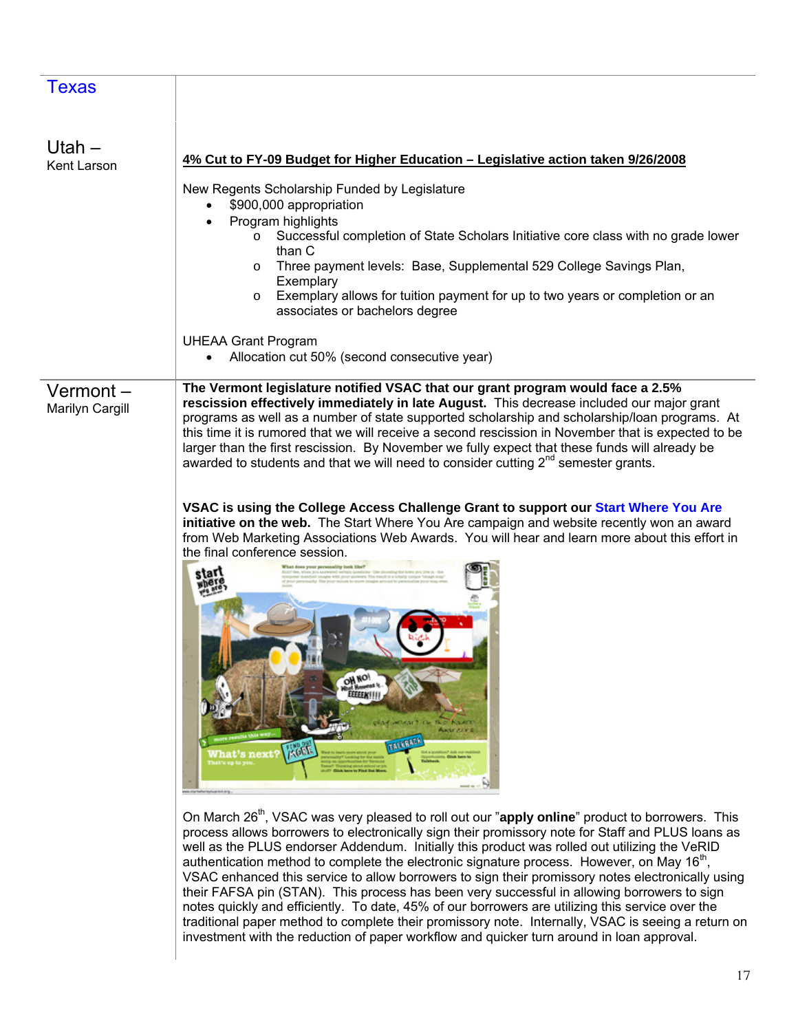| <b>Texas</b>                |                                                                                                                                                                                                                                                                                                                                                                                                                                                                                                                                                                                         |
|-----------------------------|-----------------------------------------------------------------------------------------------------------------------------------------------------------------------------------------------------------------------------------------------------------------------------------------------------------------------------------------------------------------------------------------------------------------------------------------------------------------------------------------------------------------------------------------------------------------------------------------|
| Utah $-$<br>Kent Larson     | 4% Cut to FY-09 Budget for Higher Education - Legislative action taken 9/26/2008                                                                                                                                                                                                                                                                                                                                                                                                                                                                                                        |
|                             | New Regents Scholarship Funded by Legislature<br>\$900,000 appropriation<br>Program highlights                                                                                                                                                                                                                                                                                                                                                                                                                                                                                          |
|                             | Successful completion of State Scholars Initiative core class with no grade lower<br>$\circ$<br>than C                                                                                                                                                                                                                                                                                                                                                                                                                                                                                  |
|                             | Three payment levels: Base, Supplemental 529 College Savings Plan,<br>$\circ$<br>Exemplary                                                                                                                                                                                                                                                                                                                                                                                                                                                                                              |
|                             | Exemplary allows for tuition payment for up to two years or completion or an<br>$\circ$<br>associates or bachelors degree                                                                                                                                                                                                                                                                                                                                                                                                                                                               |
|                             | <b>UHEAA Grant Program</b><br>Allocation cut 50% (second consecutive year)                                                                                                                                                                                                                                                                                                                                                                                                                                                                                                              |
|                             |                                                                                                                                                                                                                                                                                                                                                                                                                                                                                                                                                                                         |
| Vermont-<br>Marilyn Cargill | The Vermont legislature notified VSAC that our grant program would face a 2.5%<br>rescission effectively immediately in late August. This decrease included our major grant<br>programs as well as a number of state supported scholarship and scholarship/loan programs. At<br>this time it is rumored that we will receive a second rescission in November that is expected to be<br>larger than the first rescission. By November we fully expect that these funds will already be<br>awarded to students and that we will need to consider cutting 2 <sup>nd</sup> semester grants. |
|                             | VSAC is using the College Access Challenge Grant to support our Start Where You Are<br>initiative on the web. The Start Where You Are campaign and website recently won an award<br>from Web Marketing Associations Web Awards. You will hear and learn more about this effort in<br>the final conference session.<br>tat<br>OH NO!<br>EEEEEK!!!<br><b><i>Bud Kalend</i></b><br><b>PROF MOROLE EM</b><br>Awar din R<br><b>TALKBACK</b><br><b>Eogy</b><br><b>What's next?</b><br><b>C. Chick Serve by</b><br>st'a up to y<br><b>AUT? Glick have to Find Out More</b><br>reyouardut.org   |

On March 26<sup>th</sup>, VSAC was very pleased to roll out our "apply online" product to borrowers. This process allows borrowers to electronically sign their promissory note for Staff and PLUS loans as well as the PLUS endorser Addendum. Initially this product was rolled out utilizing the VeRID authentication method to complete the electronic signature process. However, on May  $16<sup>th</sup>$ , VSAC enhanced this service to allow borrowers to sign their promissory notes electronically using their FAFSA pin (STAN). This process has been very successful in allowing borrowers to sign notes quickly and efficiently. To date, 45% of our borrowers are utilizing this service over the traditional paper method to complete their promissory note. Internally, VSAC is seeing a return on investment with the reduction of paper workflow and quicker turn around in loan approval.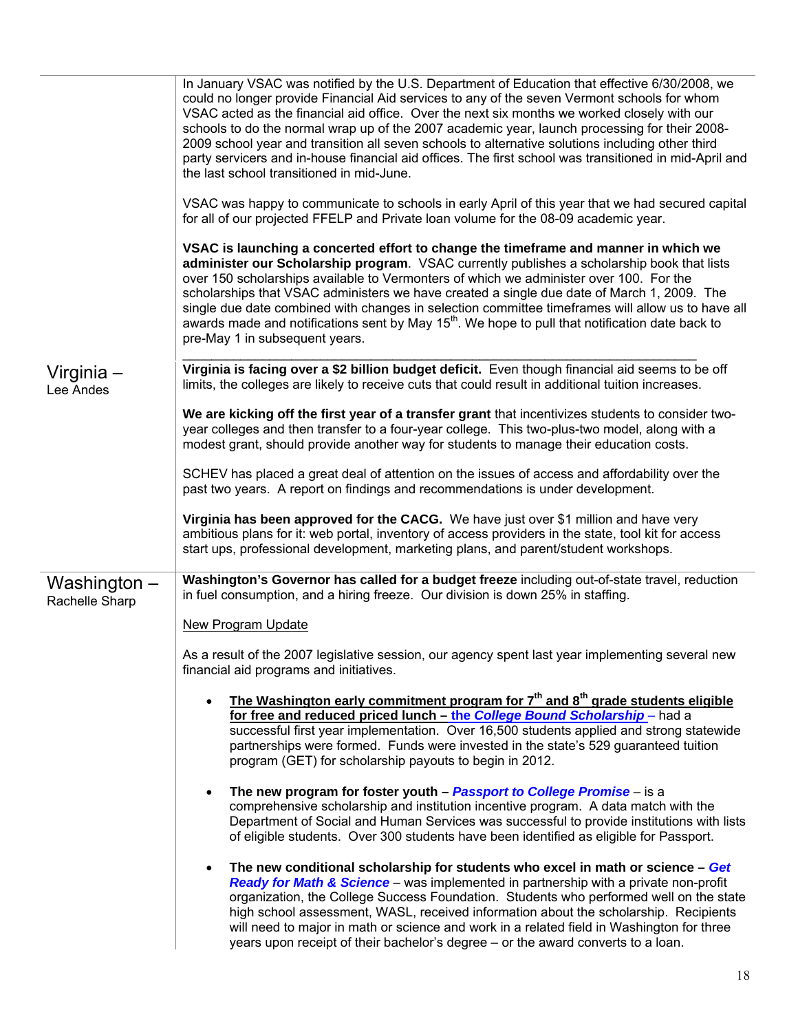|                                | In January VSAC was notified by the U.S. Department of Education that effective 6/30/2008, we<br>could no longer provide Financial Aid services to any of the seven Vermont schools for whom<br>VSAC acted as the financial aid office. Over the next six months we worked closely with our<br>schools to do the normal wrap up of the 2007 academic year, launch processing for their 2008-<br>2009 school year and transition all seven schools to alternative solutions including other third<br>party servicers and in-house financial aid offices. The first school was transitioned in mid-April and<br>the last school transitioned in mid-June. |
|--------------------------------|---------------------------------------------------------------------------------------------------------------------------------------------------------------------------------------------------------------------------------------------------------------------------------------------------------------------------------------------------------------------------------------------------------------------------------------------------------------------------------------------------------------------------------------------------------------------------------------------------------------------------------------------------------|
|                                | VSAC was happy to communicate to schools in early April of this year that we had secured capital<br>for all of our projected FFELP and Private loan volume for the 08-09 academic year.                                                                                                                                                                                                                                                                                                                                                                                                                                                                 |
|                                | VSAC is launching a concerted effort to change the timeframe and manner in which we<br>administer our Scholarship program. VSAC currently publishes a scholarship book that lists<br>over 150 scholarships available to Vermonters of which we administer over 100. For the<br>scholarships that VSAC administers we have created a single due date of March 1, 2009. The<br>single due date combined with changes in selection committee timeframes will allow us to have all<br>awards made and notifications sent by May 15 <sup>th</sup> . We hope to pull that notification date back to<br>pre-May 1 in subsequent years.                         |
| Virginia –<br>Lee Andes        | Virginia is facing over a \$2 billion budget deficit. Even though financial aid seems to be off<br>limits, the colleges are likely to receive cuts that could result in additional tuition increases.                                                                                                                                                                                                                                                                                                                                                                                                                                                   |
|                                | We are kicking off the first year of a transfer grant that incentivizes students to consider two-<br>year colleges and then transfer to a four-year college. This two-plus-two model, along with a<br>modest grant, should provide another way for students to manage their education costs.                                                                                                                                                                                                                                                                                                                                                            |
|                                | SCHEV has placed a great deal of attention on the issues of access and affordability over the<br>past two years. A report on findings and recommendations is under development.                                                                                                                                                                                                                                                                                                                                                                                                                                                                         |
|                                | Virginia has been approved for the CACG. We have just over \$1 million and have very<br>ambitious plans for it: web portal, inventory of access providers in the state, tool kit for access<br>start ups, professional development, marketing plans, and parent/student workshops.                                                                                                                                                                                                                                                                                                                                                                      |
| Washington –<br>Rachelle Sharp | Washington's Governor has called for a budget freeze including out-of-state travel, reduction<br>in fuel consumption, and a hiring freeze. Our division is down 25% in staffing.                                                                                                                                                                                                                                                                                                                                                                                                                                                                        |
|                                | <b>New Program Update</b>                                                                                                                                                                                                                                                                                                                                                                                                                                                                                                                                                                                                                               |
|                                | As a result of the 2007 legislative session, our agency spent last year implementing several new<br>financial aid programs and initiatives.                                                                                                                                                                                                                                                                                                                                                                                                                                                                                                             |
|                                | The Washington early commitment program for 7 <sup>th</sup> and 8 <sup>th</sup> grade students eligible<br>$\bullet$<br>for free and reduced priced lunch - the College Bound Scholarship-had a<br>successful first year implementation. Over 16,500 students applied and strong statewide<br>partnerships were formed. Funds were invested in the state's 529 guaranteed tuition<br>program (GET) for scholarship payouts to begin in 2012.                                                                                                                                                                                                            |
|                                | The new program for foster youth $-$ Passport to College Promise $-$ is a<br>$\bullet$<br>comprehensive scholarship and institution incentive program. A data match with the<br>Department of Social and Human Services was successful to provide institutions with lists<br>of eligible students. Over 300 students have been identified as eligible for Passport.                                                                                                                                                                                                                                                                                     |
|                                | The new conditional scholarship for students who excel in math or science - Get<br>$\bullet$<br>Ready for Math & Science – was implemented in partnership with a private non-profit<br>organization, the College Success Foundation. Students who performed well on the state<br>high school assessment, WASL, received information about the scholarship. Recipients<br>will need to major in math or science and work in a related field in Washington for three<br>years upon receipt of their bachelor's degree - or the award converts to a loan.                                                                                                  |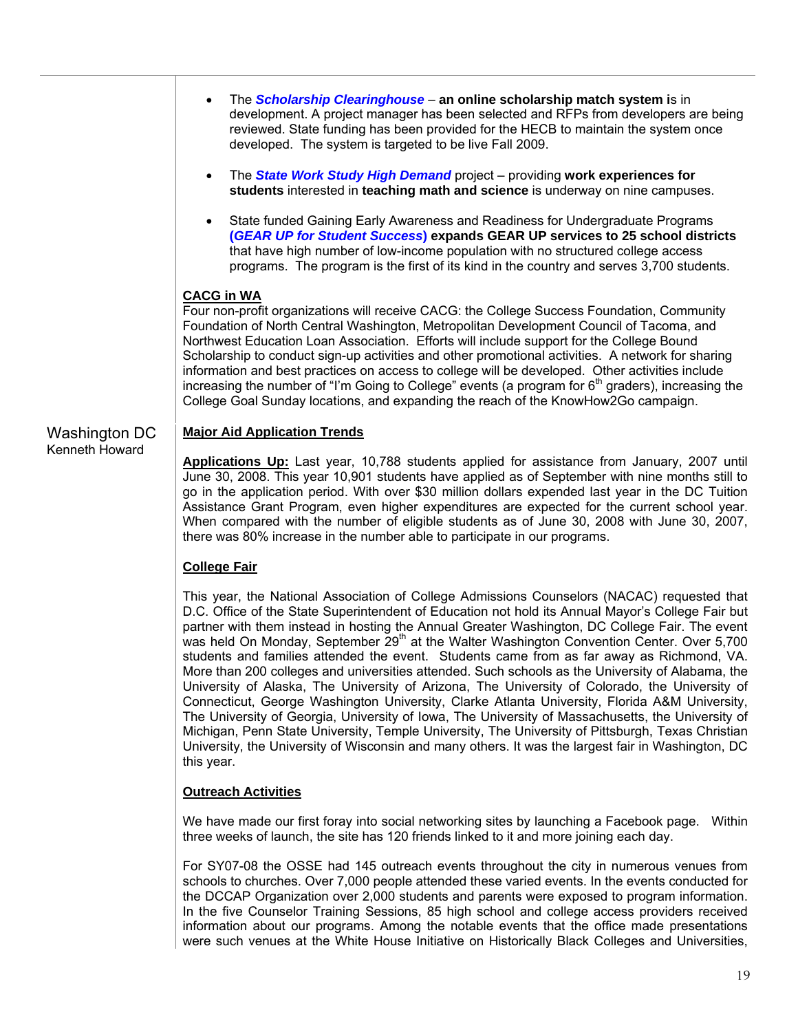- The *Scholarship Clearinghouse* **an online scholarship match system i**s in development. A project manager has been selected and RFPs from developers are being reviewed. State funding has been provided for the HECB to maintain the system once developed. The system is targeted to be live Fall 2009.
	- The *State Work Study High Demand* project providing **work experiences for students** interested in **teaching math and science** is underway on nine campuses.
	- State funded Gaining Early Awareness and Readiness for Undergraduate Programs **(***GEAR UP for Student Success***) expands GEAR UP services to 25 school districts** that have high number of low-income population with no structured college access programs. The program is the first of its kind in the country and serves 3,700 students.

### **CACG in WA**

Four non-profit organizations will receive CACG: the College Success Foundation, Community Foundation of North Central Washington, Metropolitan Development Council of Tacoma, and Northwest Education Loan Association. Efforts will include support for the College Bound Scholarship to conduct sign-up activities and other promotional activities. A network for sharing information and best practices on access to college will be developed. Other activities include increasing the number of "I'm Going to College" events (a program for  $6<sup>th</sup>$  graders), increasing the College Goal Sunday locations, and expanding the reach of the KnowHow2Go campaign.

#### Washington DC **Major Aid Application Trends**

**Applications Up:** Last year, 10,788 students applied for assistance from January, 2007 until June 30, 2008. This year 10,901 students have applied as of September with nine months still to go in the application period. With over \$30 million dollars expended last year in the DC Tuition Assistance Grant Program, even higher expenditures are expected for the current school year. When compared with the number of eligible students as of June 30, 2008 with June 30, 2007, there was 80% increase in the number able to participate in our programs.

#### **College Fair**

Kenneth Howard

This year, the National Association of College Admissions Counselors (NACAC) requested that D.C. Office of the State Superintendent of Education not hold its Annual Mayor's College Fair but partner with them instead in hosting the Annual Greater Washington, DC College Fair. The event was held On Monday, September 29<sup>th</sup> at the Walter Washington Convention Center. Over 5,700 students and families attended the event. Students came from as far away as Richmond, VA. More than 200 colleges and universities attended. Such schools as the University of Alabama, the University of Alaska, The University of Arizona, The University of Colorado, the University of Connecticut, George Washington University, Clarke Atlanta University, Florida A&M University, The University of Georgia, University of Iowa, The University of Massachusetts, the University of Michigan, Penn State University, Temple University, The University of Pittsburgh, Texas Christian University, the University of Wisconsin and many others. It was the largest fair in Washington, DC this year.

#### **Outreach Activities**

We have made our first foray into social networking sites by launching a Facebook page. Within three weeks of launch, the site has 120 friends linked to it and more joining each day.

For SY07-08 the OSSE had 145 outreach events throughout the city in numerous venues from schools to churches. Over 7,000 people attended these varied events. In the events conducted for the DCCAP Organization over 2,000 students and parents were exposed to program information. In the five Counselor Training Sessions, 85 high school and college access providers received information about our programs. Among the notable events that the office made presentations were such venues at the White House Initiative on Historically Black Colleges and Universities,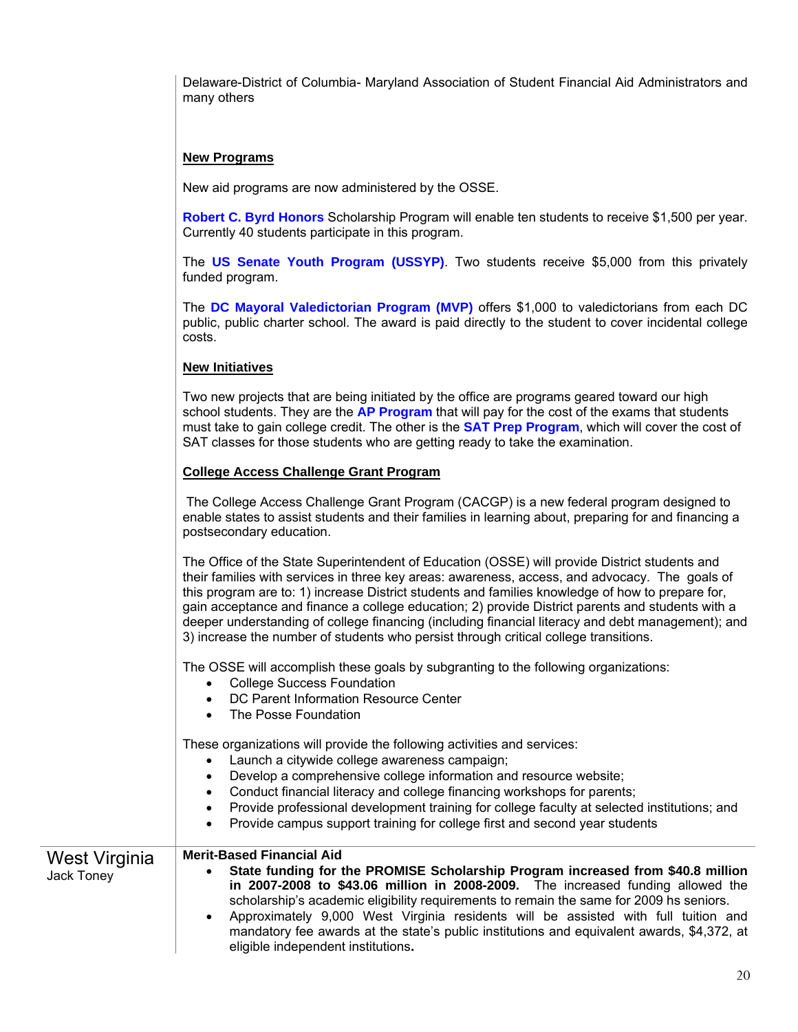Delaware-District of Columbia- Maryland Association of Student Financial Aid Administrators and many others

### **New Programs**

New aid programs are now administered by the OSSE.

**Robert C. Byrd Honors** Scholarship Program will enable ten students to receive \$1,500 per year. Currently 40 students participate in this program.

The **US Senate Youth Program (USSYP)**. Two students receive \$5,000 from this privately funded program.

The **DC Mayoral Valedictorian Program (MVP)** offers \$1,000 to valedictorians from each DC public, public charter school. The award is paid directly to the student to cover incidental college costs.

#### **New Initiatives**

Two new projects that are being initiated by the office are programs geared toward our high school students. They are the **AP Program** that will pay for the cost of the exams that students must take to gain college credit. The other is the **SAT Prep Program**, which will cover the cost of SAT classes for those students who are getting ready to take the examination.

#### **College Access Challenge Grant Program**

 The College Access Challenge Grant Program (CACGP) is a new federal program designed to enable states to assist students and their families in learning about, preparing for and financing a postsecondary education.

The Office of the State Superintendent of Education (OSSE) will provide District students and their families with services in three key areas: awareness, access, and advocacy. The goals of this program are to: 1) increase District students and families knowledge of how to prepare for, gain acceptance and finance a college education; 2) provide District parents and students with a deeper understanding of college financing (including financial literacy and debt management); and 3) increase the number of students who persist through critical college transitions.

The OSSE will accomplish these goals by subgranting to the following organizations:

- College Success Foundation
- DC Parent Information Resource Center
- The Posse Foundation

These organizations will provide the following activities and services:

- Launch a citywide college awareness campaign;
- Develop a comprehensive college information and resource website;
- Conduct financial literacy and college financing workshops for parents;
- Provide professional development training for college faculty at selected institutions; and
- Provide campus support training for college first and second year students

#### West Virginia **Merit-Based Financial Aid**

Jack Toney

• **State funding for the PROMISE Scholarship Program increased from \$40.8 million in 2007-2008 to \$43.06 million in 2008-2009.** The increased funding allowed the scholarship's academic eligibility requirements to remain the same for 2009 hs seniors.

• Approximately 9,000 West Virginia residents will be assisted with full tuition and mandatory fee awards at the state's public institutions and equivalent awards, \$4,372, at eligible independent institutions**.**